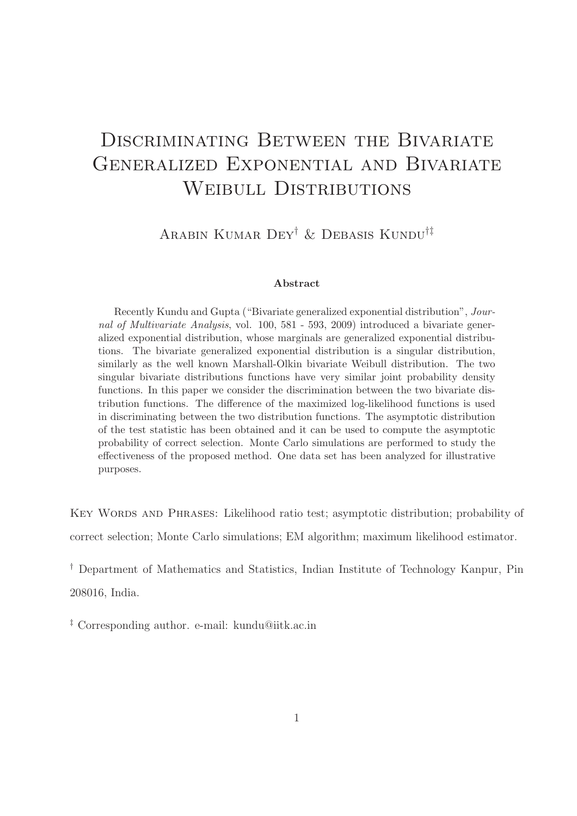# DISCRIMINATING BETWEEN THE BIVARIATE Generalized Exponential and Bivariate WEIBULL DISTRIBUTIONS

Arabin Kumar Dey† & Debasis Kundu†‡

#### Abstract

Recently Kundu and Gupta ("Bivariate generalized exponential distribution", Journal of Multivariate Analysis, vol. 100, 581 - 593, 2009) introduced a bivariate generalized exponential distribution, whose marginals are generalized exponential distributions. The bivariate generalized exponential distribution is a singular distribution, similarly as the well known Marshall-Olkin bivariate Weibull distribution. The two singular bivariate distributions functions have very similar joint probability density functions. In this paper we consider the discrimination between the two bivariate distribution functions. The difference of the maximized log-likelihood functions is used in discriminating between the two distribution functions. The asymptotic distribution of the test statistic has been obtained and it can be used to compute the asymptotic probability of correct selection. Monte Carlo simulations are performed to study the effectiveness of the proposed method. One data set has been analyzed for illustrative purposes.

KEY WORDS AND PHRASES: Likelihood ratio test; asymptotic distribution; probability of correct selection; Monte Carlo simulations; EM algorithm; maximum likelihood estimator.

† Department of Mathematics and Statistics, Indian Institute of Technology Kanpur, Pin 208016, India.

‡ Corresponding author. e-mail: kundu@iitk.ac.in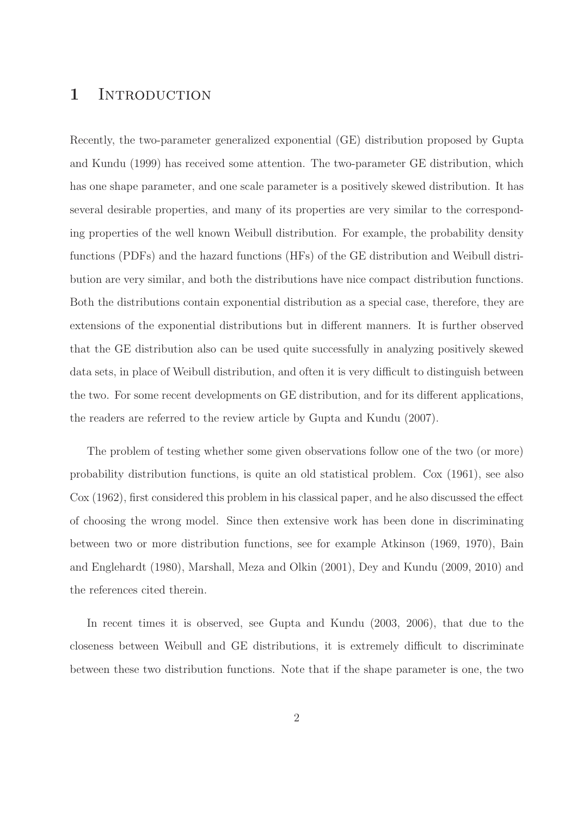### 1 INTRODUCTION

Recently, the two-parameter generalized exponential (GE) distribution proposed by Gupta and Kundu (1999) has received some attention. The two-parameter GE distribution, which has one shape parameter, and one scale parameter is a positively skewed distribution. It has several desirable properties, and many of its properties are very similar to the corresponding properties of the well known Weibull distribution. For example, the probability density functions (PDFs) and the hazard functions (HFs) of the GE distribution and Weibull distribution are very similar, and both the distributions have nice compact distribution functions. Both the distributions contain exponential distribution as a special case, therefore, they are extensions of the exponential distributions but in different manners. It is further observed that the GE distribution also can be used quite successfully in analyzing positively skewed data sets, in place of Weibull distribution, and often it is very difficult to distinguish between the two. For some recent developments on GE distribution, and for its different applications, the readers are referred to the review article by Gupta and Kundu (2007).

The problem of testing whether some given observations follow one of the two (or more) probability distribution functions, is quite an old statistical problem. Cox (1961), see also Cox (1962), first considered this problem in his classical paper, and he also discussed the effect of choosing the wrong model. Since then extensive work has been done in discriminating between two or more distribution functions, see for example Atkinson (1969, 1970), Bain and Englehardt (1980), Marshall, Meza and Olkin (2001), Dey and Kundu (2009, 2010) and the references cited therein.

In recent times it is observed, see Gupta and Kundu (2003, 2006), that due to the closeness between Weibull and GE distributions, it is extremely difficult to discriminate between these two distribution functions. Note that if the shape parameter is one, the two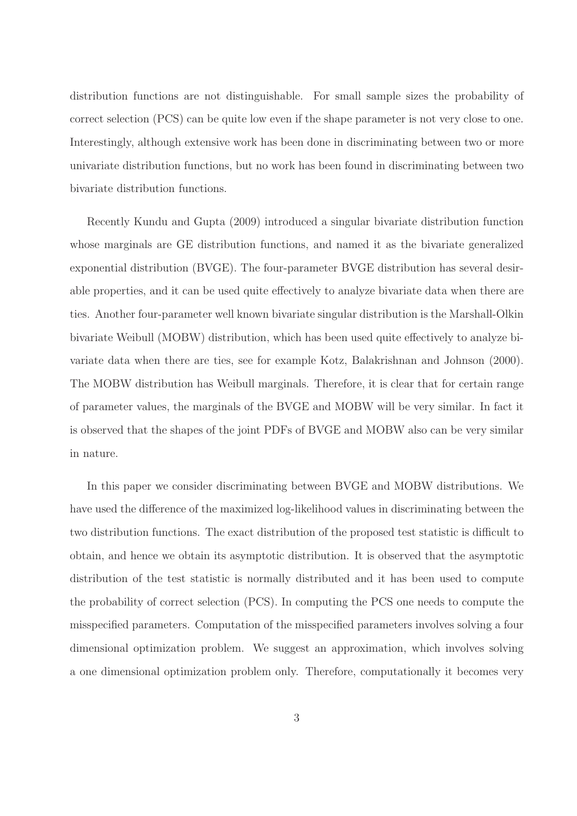distribution functions are not distinguishable. For small sample sizes the probability of correct selection (PCS) can be quite low even if the shape parameter is not very close to one. Interestingly, although extensive work has been done in discriminating between two or more univariate distribution functions, but no work has been found in discriminating between two bivariate distribution functions.

Recently Kundu and Gupta (2009) introduced a singular bivariate distribution function whose marginals are GE distribution functions, and named it as the bivariate generalized exponential distribution (BVGE). The four-parameter BVGE distribution has several desirable properties, and it can be used quite effectively to analyze bivariate data when there are ties. Another four-parameter well known bivariate singular distribution is the Marshall-Olkin bivariate Weibull (MOBW) distribution, which has been used quite effectively to analyze bivariate data when there are ties, see for example Kotz, Balakrishnan and Johnson (2000). The MOBW distribution has Weibull marginals. Therefore, it is clear that for certain range of parameter values, the marginals of the BVGE and MOBW will be very similar. In fact it is observed that the shapes of the joint PDFs of BVGE and MOBW also can be very similar in nature.

In this paper we consider discriminating between BVGE and MOBW distributions. We have used the difference of the maximized log-likelihood values in discriminating between the two distribution functions. The exact distribution of the proposed test statistic is difficult to obtain, and hence we obtain its asymptotic distribution. It is observed that the asymptotic distribution of the test statistic is normally distributed and it has been used to compute the probability of correct selection (PCS). In computing the PCS one needs to compute the misspecified parameters. Computation of the misspecified parameters involves solving a four dimensional optimization problem. We suggest an approximation, which involves solving a one dimensional optimization problem only. Therefore, computationally it becomes very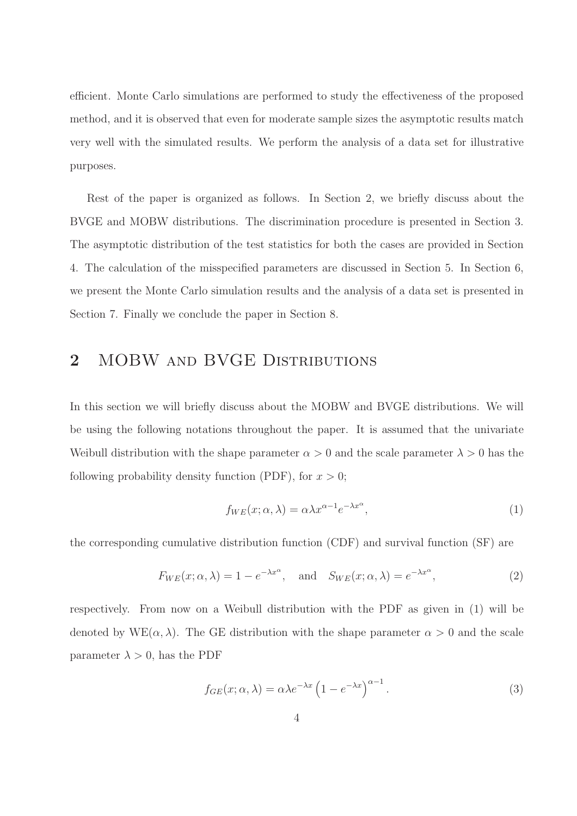efficient. Monte Carlo simulations are performed to study the effectiveness of the proposed method, and it is observed that even for moderate sample sizes the asymptotic results match very well with the simulated results. We perform the analysis of a data set for illustrative purposes.

Rest of the paper is organized as follows. In Section 2, we briefly discuss about the BVGE and MOBW distributions. The discrimination procedure is presented in Section 3. The asymptotic distribution of the test statistics for both the cases are provided in Section 4. The calculation of the misspecified parameters are discussed in Section 5. In Section 6, we present the Monte Carlo simulation results and the analysis of a data set is presented in Section 7. Finally we conclude the paper in Section 8.

# 2 MOBW AND BVGE DISTRIBUTIONS

In this section we will briefly discuss about the MOBW and BVGE distributions. We will be using the following notations throughout the paper. It is assumed that the univariate Weibull distribution with the shape parameter  $\alpha > 0$  and the scale parameter  $\lambda > 0$  has the following probability density function (PDF), for  $x > 0$ ;

$$
f_{WE}(x; \alpha, \lambda) = \alpha \lambda x^{\alpha - 1} e^{-\lambda x^{\alpha}}, \qquad (1)
$$

the corresponding cumulative distribution function (CDF) and survival function (SF) are

$$
F_{WE}(x; \alpha, \lambda) = 1 - e^{-\lambda x^{\alpha}}, \text{ and } S_{WE}(x; \alpha, \lambda) = e^{-\lambda x^{\alpha}},
$$
 (2)

respectively. From now on a Weibull distribution with the PDF as given in (1) will be denoted by  $WE(\alpha, \lambda)$ . The GE distribution with the shape parameter  $\alpha > 0$  and the scale parameter  $\lambda > 0$ , has the PDF

$$
f_{GE}(x; \alpha, \lambda) = \alpha \lambda e^{-\lambda x} \left( 1 - e^{-\lambda x} \right)^{\alpha - 1}.
$$
 (3)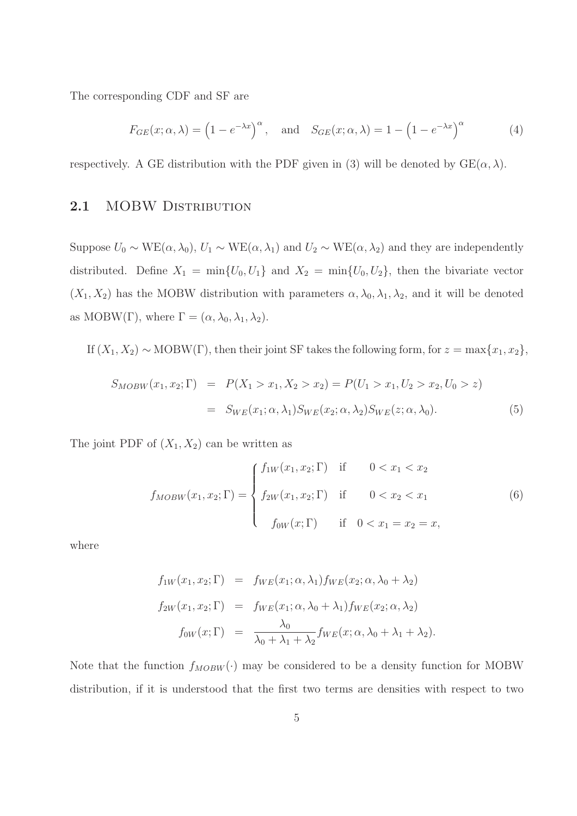The corresponding CDF and SF are

$$
F_{GE}(x; \alpha, \lambda) = \left(1 - e^{-\lambda x}\right)^{\alpha}, \text{ and } S_{GE}(x; \alpha, \lambda) = 1 - \left(1 - e^{-\lambda x}\right)^{\alpha}
$$
 (4)

respectively. A GE distribution with the PDF given in (3) will be denoted by  $GE(\alpha, \lambda)$ .

### 2.1 MOBW DISTRIBUTION

Suppose  $U_0 \sim \text{WE}(\alpha, \lambda_0)$ ,  $U_1 \sim \text{WE}(\alpha, \lambda_1)$  and  $U_2 \sim \text{WE}(\alpha, \lambda_2)$  and they are independently distributed. Define  $X_1 = \min\{U_0, U_1\}$  and  $X_2 = \min\{U_0, U_2\}$ , then the bivariate vector  $(X_1, X_2)$  has the MOBW distribution with parameters  $\alpha, \lambda_0, \lambda_1, \lambda_2$ , and it will be denoted as MOBW(Γ), where  $\Gamma = (\alpha, \lambda_0, \lambda_1, \lambda_2)$ .

If  $(X_1, X_2) \sim \text{MOBW}(\Gamma)$ , then their joint SF takes the following form, for  $z = \max\{x_1, x_2\}$ ,

$$
S_{MOBW}(x_1, x_2; \Gamma) = P(X_1 > x_1, X_2 > x_2) = P(U_1 > x_1, U_2 > x_2, U_0 > z)
$$
  
= 
$$
S_{WE}(x_1; \alpha, \lambda_1) S_{WE}(x_2; \alpha, \lambda_2) S_{WE}(z; \alpha, \lambda_0).
$$
 (5)

The joint PDF of  $(X_1, X_2)$  can be written as

$$
f_{MOBW}(x_1, x_2; \Gamma) = \begin{cases} f_{1W}(x_1, x_2; \Gamma) & \text{if } 0 < x_1 < x_2 \\ f_{2W}(x_1, x_2; \Gamma) & \text{if } 0 < x_2 < x_1 \\ f_{0W}(x; \Gamma) & \text{if } 0 < x_1 = x_2 = x, \end{cases}
$$
(6)

where

$$
f_{1W}(x_1, x_2; \Gamma) = f_{WE}(x_1; \alpha, \lambda_1) f_{WE}(x_2; \alpha, \lambda_0 + \lambda_2)
$$
  
\n
$$
f_{2W}(x_1, x_2; \Gamma) = f_{WE}(x_1; \alpha, \lambda_0 + \lambda_1) f_{WE}(x_2; \alpha, \lambda_2)
$$
  
\n
$$
f_{0W}(x; \Gamma) = \frac{\lambda_0}{\lambda_0 + \lambda_1 + \lambda_2} f_{WE}(x; \alpha, \lambda_0 + \lambda_1 + \lambda_2).
$$

Note that the function  $f_{MOBW}(\cdot)$  may be considered to be a density function for MOBW distribution, if it is understood that the first two terms are densities with respect to two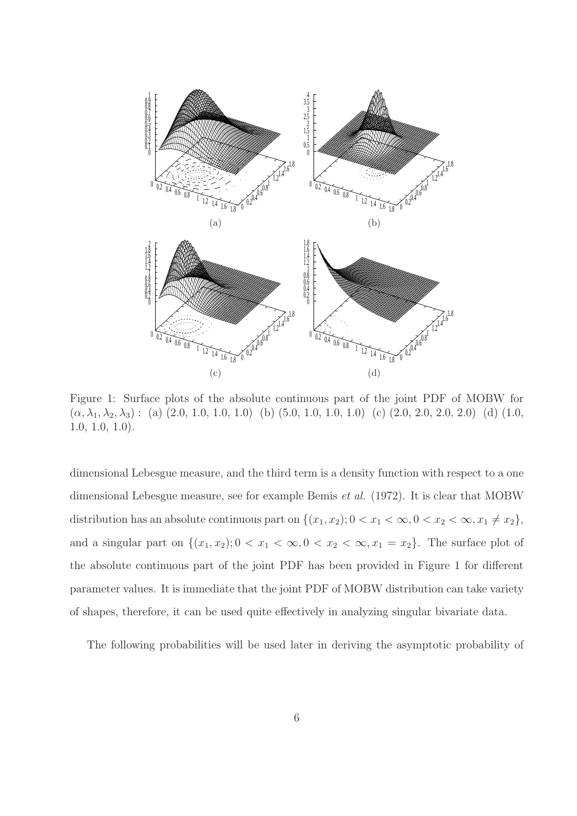

Figure 1: Surface plots of the absolute continuous part of the joint PDF of MOBW for  $(\alpha, \lambda_1, \lambda_2, \lambda_3)$ : (a)  $(2.0, 1.0, 1.0, 1.0)$  (b)  $(5.0, 1.0, 1.0, 1.0)$  (c)  $(2.0, 2.0, 2.0, 2.0)$  (d)  $(1.0,$ 1.0, 1.0, 1.0).

dimensional Lebesgue measure, and the third term is a density function with respect to a one dimensional Lebesgue measure, see for example Bemis et al. (1972). It is clear that MOBW distribution has an absolute continuous part on  $\{(x_1, x_2); 0 < x_1 < \infty, 0 < x_2 < \infty, x_1 \neq x_2\}$ , and a singular part on  $\{(x_1, x_2): 0 < x_1 < \infty, 0 < x_2 < \infty, x_1 = x_2\}$ . The surface plot of the absolute continuous part of the joint PDF has been provided in Figure 1 for different parameter values. It is immediate that the joint PDF of MOBW distribution can take variety of shapes, therefore, it can be used quite effectively in analyzing singular bivariate data.

The following probabilities will be used later in deriving the asymptotic probability of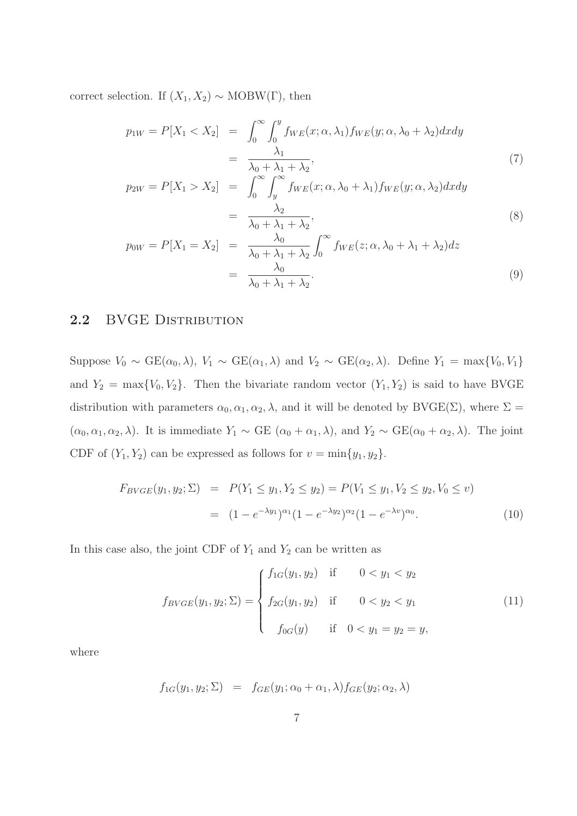correct selection. If  $(X_1, X_2) \sim \text{MOBW}(\Gamma)$ , then

$$
p_{1W} = P[X_1 < X_2] = \int_0^\infty \int_0^y f_{WE}(x; \alpha, \lambda_1) f_{WE}(y; \alpha, \lambda_0 + \lambda_2) dx dy
$$
\n
$$
= \frac{\lambda_1}{\lambda_0 + \lambda_1 + \lambda_2},\tag{7}
$$

$$
p_{2W} = P[X_1 > X_2] = \int_0^\infty \int_y^\infty f_{WE}(x; \alpha, \lambda_0 + \lambda_1) f_{WE}(y; \alpha, \lambda_2) dx dy
$$
  
= 
$$
\frac{\lambda_2}{\lambda_0 + \lambda_1 + \lambda_2},
$$
 (8)

$$
p_{0W} = P[X_1 = X_2] = \frac{\lambda_0}{\lambda_0 + \lambda_1 + \lambda_2} \int_0^\infty f_{WE}(z; \alpha, \lambda_0 + \lambda_1 + \lambda_2) dz
$$
  
= 
$$
\frac{\lambda_0}{\lambda_0 + \lambda_1 + \lambda_2}.
$$
 (9)

### 2.2 BVGE DISTRIBUTION

Suppose  $V_0 \sim \text{GE}(\alpha_0, \lambda)$ ,  $V_1 \sim \text{GE}(\alpha_1, \lambda)$  and  $V_2 \sim \text{GE}(\alpha_2, \lambda)$ . Define  $Y_1 = \max\{V_0, V_1\}$ and  $Y_2 = \max\{V_0, V_2\}$ . Then the bivariate random vector  $(Y_1, Y_2)$  is said to have BVGE distribution with parameters  $\alpha_0, \alpha_1, \alpha_2, \lambda$ , and it will be denoted by BVGE( $\Sigma$ ), where  $\Sigma$  =  $(\alpha_0, \alpha_1, \alpha_2, \lambda)$ . It is immediate  $Y_1 \sim \text{GE } (\alpha_0 + \alpha_1, \lambda)$ , and  $Y_2 \sim \text{GE}(\alpha_0 + \alpha_2, \lambda)$ . The joint CDF of  $(Y_1, Y_2)$  can be expressed as follows for  $v = \min\{y_1, y_2\}.$ 

$$
F_{BVGE}(y_1, y_2; \Sigma) = P(Y_1 \le y_1, Y_2 \le y_2) = P(V_1 \le y_1, V_2 \le y_2, V_0 \le v)
$$
  
= 
$$
(1 - e^{-\lambda y_1})^{\alpha_1} (1 - e^{-\lambda y_2})^{\alpha_2} (1 - e^{-\lambda v})^{\alpha_0}.
$$
 (10)

In this case also, the joint CDF of  $Y_1$  and  $Y_2$  can be written as

$$
f_{BVGE}(y_1, y_2; \Sigma) = \begin{cases} f_{1G}(y_1, y_2) & \text{if } 0 < y_1 < y_2 \\ f_{2G}(y_1, y_2) & \text{if } 0 < y_2 < y_1 \\ f_{0G}(y) & \text{if } 0 < y_1 = y_2 = y, \end{cases}
$$
(11)

where

$$
f_{1G}(y_1, y_2; \Sigma) = f_{GE}(y_1; \alpha_0 + \alpha_1, \lambda) f_{GE}(y_2; \alpha_2, \lambda)
$$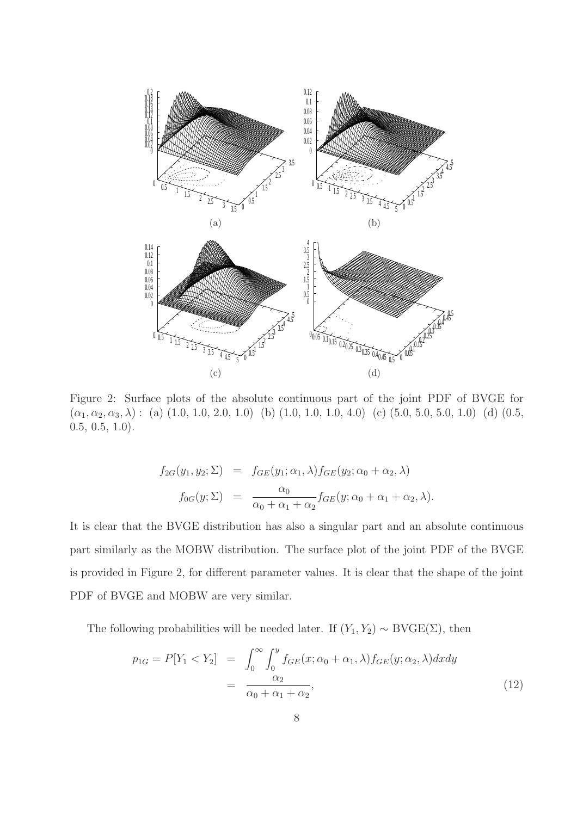

Figure 2: Surface plots of the absolute continuous part of the joint PDF of BVGE for  $(\alpha_1, \alpha_2, \alpha_3, \lambda)$ : (a) (1.0, 1.0, 2.0, 1.0) (b) (1.0, 1.0, 1.0, 4.0) (c) (5.0, 5.0, 5.0, 1.0) (d) (0.5, 0.5, 0.5, 1.0).

$$
f_{2G}(y_1, y_2; \Sigma) = f_{GE}(y_1; \alpha_1, \lambda) f_{GE}(y_2; \alpha_0 + \alpha_2, \lambda)
$$
  

$$
f_{0G}(y; \Sigma) = \frac{\alpha_0}{\alpha_0 + \alpha_1 + \alpha_2} f_{GE}(y; \alpha_0 + \alpha_1 + \alpha_2, \lambda).
$$

It is clear that the BVGE distribution has also a singular part and an absolute continuous part similarly as the MOBW distribution. The surface plot of the joint PDF of the BVGE is provided in Figure 2, for different parameter values. It is clear that the shape of the joint PDF of BVGE and MOBW are very similar.

The following probabilities will be needed later. If  $(Y_1, Y_2) \sim \text{BVGE}(\Sigma)$ , then

$$
p_{1G} = P[Y_1 < Y_2] = \int_0^\infty \int_0^y f_{GE}(x; \alpha_0 + \alpha_1, \lambda) f_{GE}(y; \alpha_2, \lambda) dx dy
$$
\n
$$
= \frac{\alpha_2}{\alpha_0 + \alpha_1 + \alpha_2},\tag{12}
$$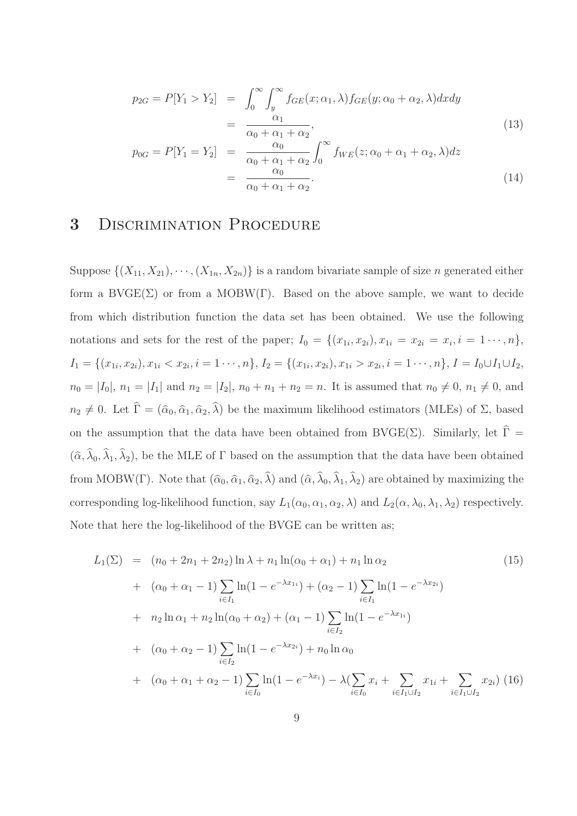$$
p_{2G} = P[Y_1 > Y_2] = \int_0^\infty \int_y^\infty f_{GE}(x; \alpha_1, \lambda) f_{GE}(y; \alpha_0 + \alpha_2, \lambda) dx dy
$$
  

$$
= \frac{\alpha_1}{\alpha_0 + \alpha_1 + \alpha_2},
$$
 (13)

$$
p_{0G} = P[Y_1 = Y_2] = \frac{\alpha_0}{\alpha_0 + \alpha_1 + \alpha_2} \int_0^\infty f_{WE}(z; \alpha_0 + \alpha_1 + \alpha_2, \lambda) dz
$$
  
= 
$$
\frac{\alpha_0}{\alpha_0 + \alpha_1 + \alpha_2}.
$$
 (14)

### 3 DISCRIMINATION PROCEDURE

Suppose  $\{(X_{11}, X_{21}), \cdots, (X_{1n}, X_{2n})\}$  is a random bivariate sample of size n generated either form a  $\text{BVGE}(\Sigma)$  or from a MOBW(Γ). Based on the above sample, we want to decide from which distribution function the data set has been obtained. We use the following notations and sets for the rest of the paper;  $I_0 = \{(x_{1i}, x_{2i}), x_{1i} = x_{2i} = x_i, i = 1 \cdots, n\},\$  $I_1 = \{(x_{1i}, x_{2i}), x_{1i} < x_{2i}, i = 1 \cdots, n\}, I_2 = \{(x_{1i}, x_{2i}), x_{1i} > x_{2i}, i = 1 \cdots, n\}, I = I_0 \cup I_1 \cup I_2,$  $n_0 = |I_0|, n_1 = |I_1|$  and  $n_2 = |I_2|, n_0 + n_1 + n_2 = n$ . It is assumed that  $n_0 \neq 0, n_1 \neq 0$ , and  $n_2 \neq 0$ . Let  $\Gamma = (\hat{\alpha}_0, \hat{\alpha}_1, \hat{\alpha}_2, \lambda)$  be the maximum likelihood estimators (MLEs) of  $\Sigma$ , based on the assumption that the data have been obtained from BVGE( $\Sigma$ ). Similarly, let  $\widehat{\Gamma} =$  $(\hat{\alpha}, \lambda_0, \lambda_1, \lambda_2)$ , be the MLE of  $\Gamma$  based on the assumption that the data have been obtained from MOBW(Γ). Note that  $(\hat{\alpha}_0, \hat{\alpha}_1, \hat{\alpha}_2, \lambda)$  and  $(\hat{\alpha}, \lambda_0, \lambda_1, \lambda_2)$  are obtained by maximizing the corresponding log-likelihood function, say  $L_1(\alpha_0, \alpha_1, \alpha_2, \lambda)$  and  $L_2(\alpha, \lambda_0, \lambda_1, \lambda_2)$  respectively. Note that here the log-likelihood of the BVGE can be written as;

$$
L_{1}(\Sigma) = (n_{0} + 2n_{1} + 2n_{2}) \ln \lambda + n_{1} \ln(\alpha_{0} + \alpha_{1}) + n_{1} \ln \alpha_{2}
$$
(15)  
+  $(\alpha_{0} + \alpha_{1} - 1) \sum_{i \in I_{1}} \ln(1 - e^{-\lambda x_{1i}}) + (\alpha_{2} - 1) \sum_{i \in I_{1}} \ln(1 - e^{-\lambda x_{2i}})$   
+  $n_{2} \ln \alpha_{1} + n_{2} \ln(\alpha_{0} + \alpha_{2}) + (\alpha_{1} - 1) \sum_{i \in I_{2}} \ln(1 - e^{-\lambda x_{1i}})$   
+  $(\alpha_{0} + \alpha_{2} - 1) \sum_{i \in I_{2}} \ln(1 - e^{-\lambda x_{2i}}) + n_{0} \ln \alpha_{0}$   
+  $(\alpha_{0} + \alpha_{1} + \alpha_{2} - 1) \sum_{i \in I_{0}} \ln(1 - e^{-\lambda x_{i}}) - \lambda (\sum_{i \in I_{0}} x_{i} + \sum_{i \in I_{1} \cup I_{2}} x_{1i} + \sum_{i \in I_{1} \cup I_{2}} x_{2i})$ (16)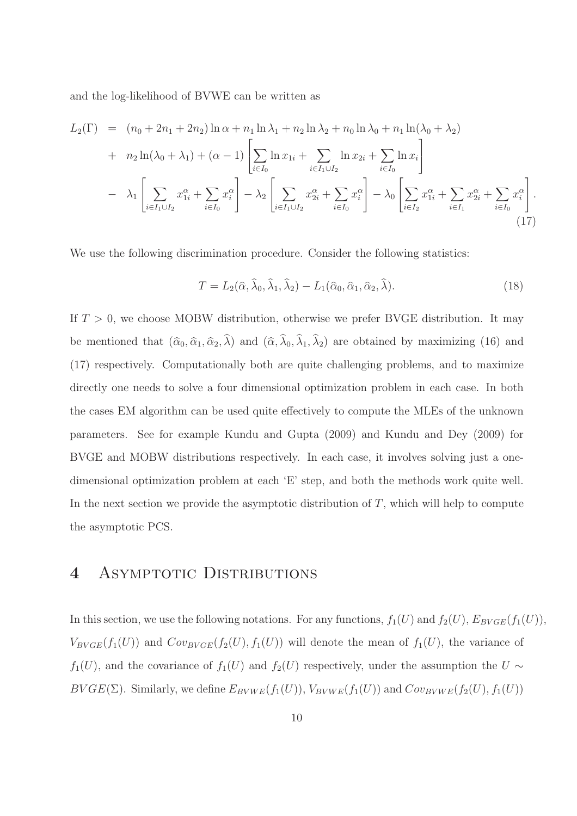and the log-likelihood of BVWE can be written as

$$
L_{2}(\Gamma) = (n_{0} + 2n_{1} + 2n_{2}) \ln \alpha + n_{1} \ln \lambda_{1} + n_{2} \ln \lambda_{2} + n_{0} \ln \lambda_{0} + n_{1} \ln(\lambda_{0} + \lambda_{2})
$$
  
+  $n_{2} \ln(\lambda_{0} + \lambda_{1}) + (\alpha - 1) \left[ \sum_{i \in I_{0}} \ln x_{1i} + \sum_{i \in I_{1} \cup I_{2}} \ln x_{2i} + \sum_{i \in I_{0}} \ln x_{i} \right]$   
-  $\lambda_{1} \left[ \sum_{i \in I_{1} \cup I_{2}} x_{1i}^{\alpha} + \sum_{i \in I_{0}} x_{i}^{\alpha} \right] - \lambda_{2} \left[ \sum_{i \in I_{1} \cup I_{2}} x_{2i}^{\alpha} + \sum_{i \in I_{0}} x_{i}^{\alpha} \right] - \lambda_{0} \left[ \sum_{i \in I_{2}} x_{1i}^{\alpha} + \sum_{i \in I_{1}} x_{2i}^{\alpha} + \sum_{i \in I_{0}} x_{i}^{\alpha} \right].$  (17)

We use the following discrimination procedure. Consider the following statistics:

$$
T = L_2(\widehat{\alpha}, \widehat{\lambda}_0, \widehat{\lambda}_1, \widehat{\lambda}_2) - L_1(\widehat{\alpha}_0, \widehat{\alpha}_1, \widehat{\alpha}_2, \widehat{\lambda}).
$$
\n(18)

If  $T > 0$ , we choose MOBW distribution, otherwise we prefer BVGE distribution. It may be mentioned that  $(\hat{\alpha}_0, \hat{\alpha}_1, \hat{\alpha}_2, \lambda)$  and  $(\hat{\alpha}, \lambda_0, \lambda_1, \lambda_2)$  are obtained by maximizing (16) and (17) respectively. Computationally both are quite challenging problems, and to maximize directly one needs to solve a four dimensional optimization problem in each case. In both the cases EM algorithm can be used quite effectively to compute the MLEs of the unknown parameters. See for example Kundu and Gupta (2009) and Kundu and Dey (2009) for BVGE and MOBW distributions respectively. In each case, it involves solving just a onedimensional optimization problem at each 'E' step, and both the methods work quite well. In the next section we provide the asymptotic distribution of  $T$ , which will help to compute the asymptotic PCS.

### 4 ASYMPTOTIC DISTRIBUTIONS

In this section, we use the following notations. For any functions,  $f_1(U)$  and  $f_2(U)$ ,  $E_{BVGE}(f_1(U))$ ,  $V_{BYGE}(f_1(U))$  and  $Cov_{BYGE}(f_2(U), f_1(U))$  will denote the mean of  $f_1(U)$ , the variance of  $f_1(U)$ , and the covariance of  $f_1(U)$  and  $f_2(U)$  respectively, under the assumption the U ∼  $BVGE(\Sigma)$ . Similarly, we define  $E_{BVWE}(f_1(U))$ ,  $V_{BVWE}(f_1(U))$  and  $Cov_{BVWE}(f_2(U), f_1(U))$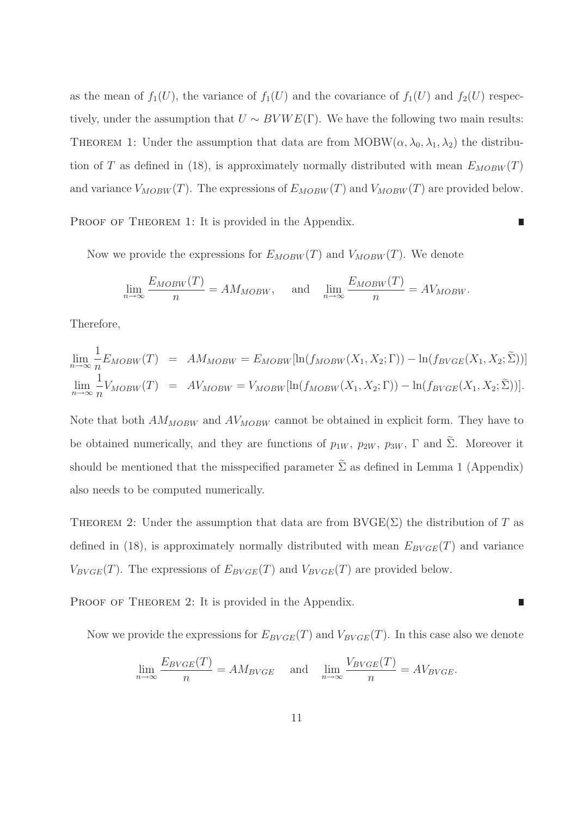as the mean of  $f_1(U)$ , the variance of  $f_1(U)$  and the covariance of  $f_1(U)$  and  $f_2(U)$  respectively, under the assumption that  $U \sim BVWE(\Gamma)$ . We have the following two main results: THEOREM 1: Under the assumption that data are from  $MOBW(\alpha, \lambda_0, \lambda_1, \lambda_2)$  the distribution of T as defined in (18), is approximately normally distributed with mean  $E_{MOBW}(T)$ and variance  $V_{MOBW}(T)$ . The expressions of  $E_{MOBW}(T)$  and  $V_{MOBW}(T)$  are provided below.

■

П

PROOF OF THEOREM 1: It is provided in the Appendix.

Now we provide the expressions for  $E_{MOBW}(T)$  and  $V_{MOBW}(T)$ . We denote

$$
\lim_{n \to \infty} \frac{E_{MOBW}(T)}{n} = AM_{MOBW}, \quad \text{and} \quad \lim_{n \to \infty} \frac{E_{MOBW}(T)}{n} = AV_{MOBW}.
$$

Therefore,

$$
\lim_{n \to \infty} \frac{1}{n} E_{MOBW}(T) = AM_{MOBW} = E_{MOBW}[\ln(f_{MOBW}(X_1, X_2; \Gamma)) - \ln(f_{BVGE}(X_1, X_2; \tilde{\Sigma}))]
$$
  

$$
\lim_{n \to \infty} \frac{1}{n} V_{MOBW}(T) = AV_{MOBW} = V_{MOBW}[\ln(f_{MOBW}(X_1, X_2; \Gamma)) - \ln(f_{BVGE}(X_1, X_2; \tilde{\Sigma}))].
$$

Note that both  $AM_{MOBW}$  and  $AV_{MOBW}$  cannot be obtained in explicit form. They have to be obtained numerically, and they are functions of  $p_{1W}$ ,  $p_{2W}$ ,  $p_{3W}$ ,  $\Gamma$  and  $\Sigma$ . Moreover it should be mentioned that the misspecified parameter  $\tilde{\Sigma}$  as defined in Lemma 1 (Appendix) also needs to be computed numerically.

THEOREM 2: Under the assumption that data are from  $\text{BVGE}(\Sigma)$  the distribution of T as defined in (18), is approximately normally distributed with mean  $E_{BVGE}(T)$  and variance  $V_{BYGE}(T)$ . The expressions of  $E_{BYGE}(T)$  and  $V_{BYGE}(T)$  are provided below.

PROOF OF THEOREM 2: It is provided in the Appendix.

Now we provide the expressions for  $E_{BVGE}(T)$  and  $V_{BVGE}(T)$ . In this case also we denote

$$
\lim_{n \to \infty} \frac{E_{BVGE}(T)}{n} = AM_{BVGE} \quad \text{and} \quad \lim_{n \to \infty} \frac{V_{BVGE}(T)}{n} = AV_{BVGE}.
$$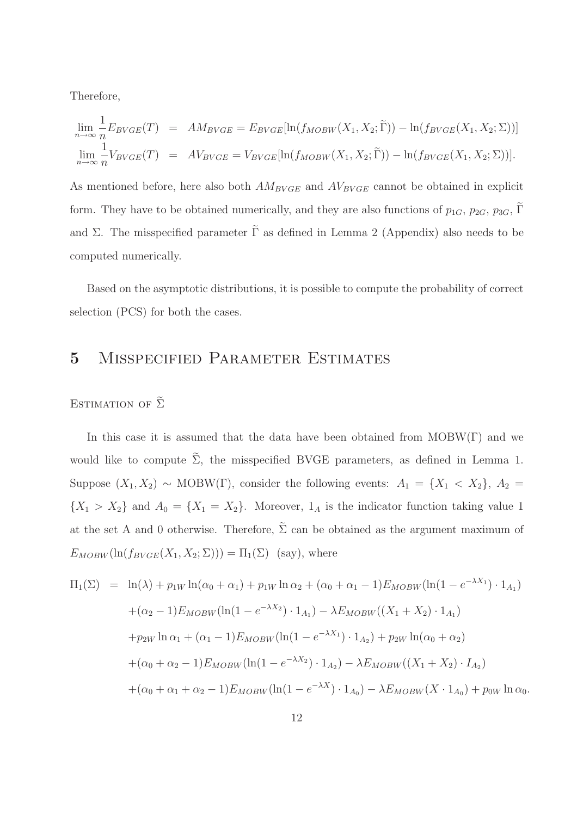Therefore,

$$
\lim_{n \to \infty} \frac{1}{n} E_{BYGE}(T) = AM_{BYGE} = E_{BYGE}[\ln(f_{MOBW}(X_1, X_2; \tilde{\Gamma})) - \ln(f_{BYGE}(X_1, X_2; \Sigma))]
$$
  
\n
$$
\lim_{n \to \infty} \frac{1}{n} V_{BYGE}(T) = AV_{BYGE} = V_{BYGE}[\ln(f_{MOBW}(X_1, X_2; \tilde{\Gamma})) - \ln(f_{BYGE}(X_1, X_2; \Sigma))].
$$

As mentioned before, here also both  $AM_{BVGE}$  and  $AV_{BVGE}$  cannot be obtained in explicit form. They have to be obtained numerically, and they are also functions of  $p_{1G}$ ,  $p_{2G}$ ,  $p_{3G}$ ,  $\Gamma$ and Σ. The misspecified parameter  $\tilde{\Gamma}$  as defined in Lemma 2 (Appendix) also needs to be computed numerically.

Based on the asymptotic distributions, it is possible to compute the probability of correct selection (PCS) for both the cases.

### 5 Misspecified Parameter Estimates

### ESTIMATION OF  $\tilde{\Sigma}$

In this case it is assumed that the data have been obtained from  $MOBW(\Gamma)$  and we would like to compute  $\tilde{\Sigma}$ , the misspecified BVGE parameters, as defined in Lemma 1. Suppose  $(X_1, X_2) \sim \text{MOBW}(\Gamma)$ , consider the following events:  $A_1 = \{X_1 \lt X_2\}$ ,  $A_2 =$  ${X_1 > X_2}$  and  $A_0 = {X_1 = X_2}$ . Moreover,  $1_A$  is the indicator function taking value 1 at the set A and 0 otherwise. Therefore,  $\tilde{\Sigma}$  can be obtained as the argument maximum of  $E_{MOBW}(\ln(f_{BVGE}(X_1, X_2; \Sigma))) = \Pi_1(\Sigma)$  (say), where

$$
\Pi_1(\Sigma) = \ln(\lambda) + p_{1W} \ln(\alpha_0 + \alpha_1) + p_{1W} \ln \alpha_2 + (\alpha_0 + \alpha_1 - 1) E_{MOBW} (\ln(1 - e^{-\lambda X_1}) \cdot 1_{A_1})
$$

$$
+ (\alpha_2 - 1) E_{MOBW} (\ln(1 - e^{-\lambda X_2}) \cdot 1_{A_1}) - \lambda E_{MOBW} ((X_1 + X_2) \cdot 1_{A_1})
$$

$$
+ p_{2W} \ln \alpha_1 + (\alpha_1 - 1) E_{MOBW} (\ln(1 - e^{-\lambda X_1}) \cdot 1_{A_2}) + p_{2W} \ln(\alpha_0 + \alpha_2)
$$

$$
+ (\alpha_0 + \alpha_2 - 1) E_{MOBW} (\ln(1 - e^{-\lambda X_2}) \cdot 1_{A_2}) - \lambda E_{MOBW} ((X_1 + X_2) \cdot I_{A_2})
$$

$$
+ (\alpha_0 + \alpha_1 + \alpha_2 - 1) E_{MOBW} (\ln(1 - e^{-\lambda X}) \cdot 1_{A_0}) - \lambda E_{MOBW} (X \cdot 1_{A_0}) + p_{0W} \ln \alpha_0.
$$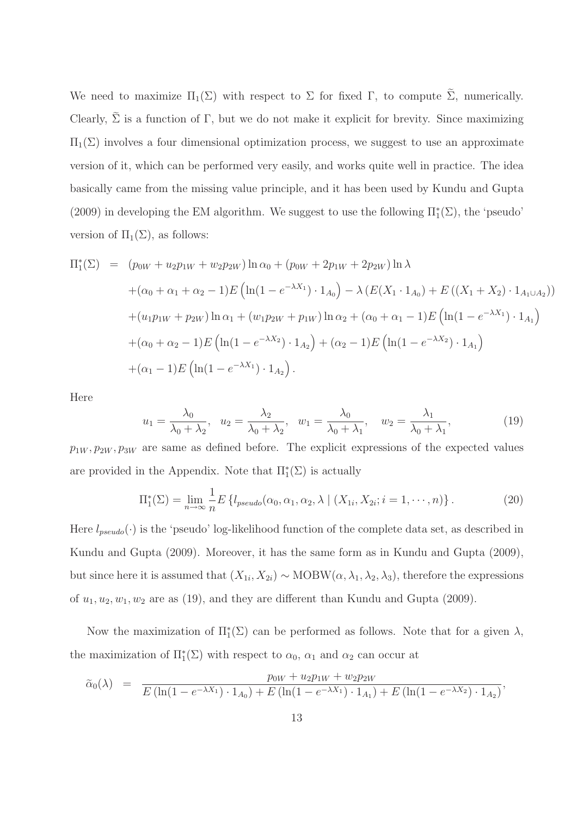We need to maximize  $\Pi_1(\Sigma)$  with respect to  $\Sigma$  for fixed  $\Gamma$ , to compute  $\widetilde{\Sigma}$ , numerically. Clearly,  $\tilde{\Sigma}$  is a function of Γ, but we do not make it explicit for brevity. Since maximizing  $\Pi_1(\Sigma)$  involves a four dimensional optimization process, we suggest to use an approximate version of it, which can be performed very easily, and works quite well in practice. The idea basically came from the missing value principle, and it has been used by Kundu and Gupta (2009) in developing the EM algorithm. We suggest to use the following  $\Pi_1^*(\Sigma)$ , the 'pseudo' version of  $\Pi_1(\Sigma)$ , as follows:

$$
\Pi_1^*(\Sigma) = (p_{0W} + u_2 p_{1W} + w_2 p_{2W}) \ln \alpha_0 + (p_{0W} + 2p_{1W} + 2p_{2W}) \ln \lambda \n+ (\alpha_0 + \alpha_1 + \alpha_2 - 1) E \left( \ln(1 - e^{-\lambda X_1}) \cdot 1_{A_0} \right) - \lambda \left( E(X_1 \cdot 1_{A_0}) + E((X_1 + X_2) \cdot 1_{A_1 \cup A_2}) \right) \n+ (u_1 p_{1W} + p_{2W}) \ln \alpha_1 + (w_1 p_{2W} + p_{1W}) \ln \alpha_2 + (\alpha_0 + \alpha_1 - 1) E \left( \ln(1 - e^{-\lambda X_1}) \cdot 1_{A_1} \right) \n+ (\alpha_0 + \alpha_2 - 1) E \left( \ln(1 - e^{-\lambda X_2}) \cdot 1_{A_2} \right) + (\alpha_2 - 1) E \left( \ln(1 - e^{-\lambda X_2}) \cdot 1_{A_1} \right) \n+ (\alpha_1 - 1) E \left( \ln(1 - e^{-\lambda X_1}) \cdot 1_{A_2} \right).
$$

Here

$$
u_1 = \frac{\lambda_0}{\lambda_0 + \lambda_2}, \quad u_2 = \frac{\lambda_2}{\lambda_0 + \lambda_2}, \quad w_1 = \frac{\lambda_0}{\lambda_0 + \lambda_1}, \quad w_2 = \frac{\lambda_1}{\lambda_0 + \lambda_1}, \tag{19}
$$

 $p_{1W}, p_{2W}, p_{3W}$  are same as defined before. The explicit expressions of the expected values are provided in the Appendix. Note that  $\Pi_1^*(\Sigma)$  is actually

$$
\Pi_1^*(\Sigma) = \lim_{n \to \infty} \frac{1}{n} E\left\{l_{pseudo}(\alpha_0, \alpha_1, \alpha_2, \lambda \mid (X_{1i}, X_{2i}; i = 1, \cdots, n)\right\}.
$$
 (20)

Here  $l_{pseudo}(\cdot)$  is the 'pseudo' log-likelihood function of the complete data set, as described in Kundu and Gupta (2009). Moreover, it has the same form as in Kundu and Gupta (2009), but since here it is assumed that  $(X_{1i}, X_{2i}) \sim \text{MOBW}(\alpha, \lambda_1, \lambda_2, \lambda_3)$ , therefore the expressions of  $u_1, u_2, w_1, w_2$  are as (19), and they are different than Kundu and Gupta (2009).

Now the maximization of  $\Pi_1^*(\Sigma)$  can be performed as follows. Note that for a given  $\lambda$ , the maximization of  $\Pi_1^*(\Sigma)$  with respect to  $\alpha_0$ ,  $\alpha_1$  and  $\alpha_2$  can occur at

$$
\tilde{\alpha}_0(\lambda) = \frac{p_{0W} + u_2 p_{1W} + w_2 p_{2W}}{E(\ln(1 - e^{-\lambda X_1}) \cdot 1_{A_0}) + E(\ln(1 - e^{-\lambda X_1}) \cdot 1_{A_1}) + E(\ln(1 - e^{-\lambda X_2}) \cdot 1_{A_2})},
$$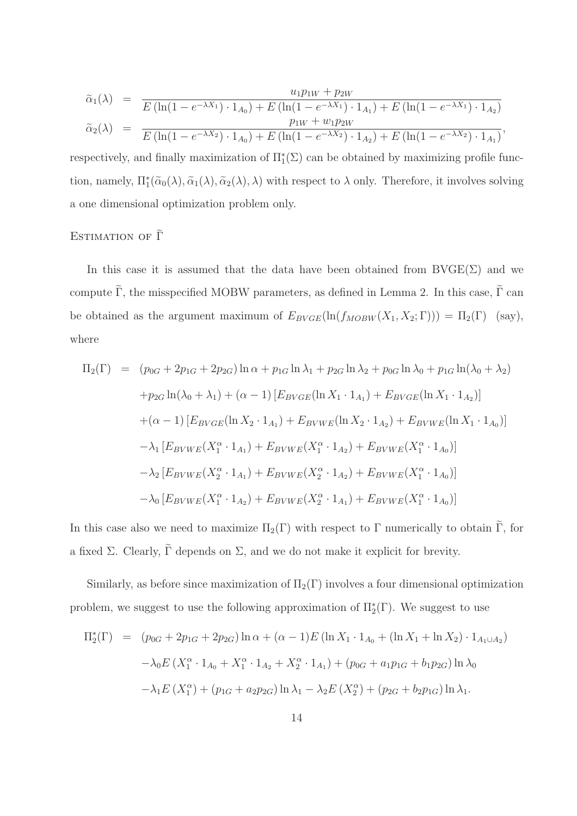$$
\tilde{\alpha}_1(\lambda) = \frac{u_1 p_{1W} + p_{2W}}{E(\ln(1 - e^{-\lambda X_1}) \cdot 1_{A_0}) + E(\ln(1 - e^{-\lambda X_1}) \cdot 1_{A_1}) + E(\ln(1 - e^{-\lambda X_1}) \cdot 1_{A_2})}
$$
\n
$$
\tilde{\alpha}_2(\lambda) = \frac{p_{1W} + w_1 p_{2W}}{E(\ln(1 - e^{-\lambda X_2}) \cdot 1_{A_0}) + E(\ln(1 - e^{-\lambda X_2}) \cdot 1_{A_2}) + E(\ln(1 - e^{-\lambda X_2}) \cdot 1_{A_1})},
$$

respectively, and finally maximization of  $\Pi_1^*(\Sigma)$  can be obtained by maximizing profile function, namely,  $\Pi_1^*(\tilde{\alpha}_0(\lambda), \tilde{\alpha}_1(\lambda), \tilde{\alpha}_2(\lambda), \lambda)$  with respect to  $\lambda$  only. Therefore, it involves solving a one dimensional optimization problem only.

### ESTIMATION OF  $\tilde{\Gamma}$

In this case it is assumed that the data have been obtained from  $\text{BVGE}(\Sigma)$  and we compute  $\tilde{\Gamma}$ , the misspecified MOBW parameters, as defined in Lemma 2. In this case,  $\tilde{\Gamma}$  can be obtained as the argument maximum of  $E_{BVGE}(\ln(f_{MOBW}(X_1, X_2; \Gamma))) = \Pi_2(\Gamma)$  (say), where

$$
\Pi_2(\Gamma) = (p_{0G} + 2p_{1G} + 2p_{2G}) \ln \alpha + p_{1G} \ln \lambda_1 + p_{2G} \ln \lambda_2 + p_{0G} \ln \lambda_0 + p_{1G} \ln(\lambda_0 + \lambda_2)
$$
  
+ $p_{2G} \ln(\lambda_0 + \lambda_1) + (\alpha - 1) [E_{BVGE}(\ln X_1 \cdot 1_{A_1}) + E_{BVGE}(\ln X_1 \cdot 1_{A_2})]$   
+ $(\alpha - 1) [E_{BVGE}(\ln X_2 \cdot 1_{A_1}) + E_{BVWE}(\ln X_2 \cdot 1_{A_2}) + E_{BVWE}(\ln X_1 \cdot 1_{A_0})]$   
- $\lambda_1 [E_{BVWE}(X_1^{\alpha} \cdot 1_{A_1}) + E_{BVWE}(X_1^{\alpha} \cdot 1_{A_2}) + E_{BVWE}(X_1^{\alpha} \cdot 1_{A_0})]$   
- $\lambda_2 [E_{BVWE}(X_2^{\alpha} \cdot 1_{A_1}) + E_{BVWE}(X_2^{\alpha} \cdot 1_{A_2}) + E_{BVWE}(X_1^{\alpha} \cdot 1_{A_0})]$   
- $\lambda_0 [E_{BVWE}(X_1^{\alpha} \cdot 1_{A_2}) + E_{BVWE}(X_2^{\alpha} \cdot 1_{A_1}) + E_{BVWE}(X_1^{\alpha} \cdot 1_{A_0})]$ 

In this case also we need to maximize  $\Pi_2(\Gamma)$  with respect to Γ numerically to obtain  $\widetilde{\Gamma}$ , for a fixed Σ. Clearly,  $\tilde{\Gamma}$  depends on Σ, and we do not make it explicit for brevity.

Similarly, as before since maximization of  $\Pi_2(\Gamma)$  involves a four dimensional optimization problem, we suggest to use the following approximation of  $\Pi_2^*(\Gamma)$ . We suggest to use

$$
\Pi_2^*(\Gamma) = (p_{0G} + 2p_{1G} + 2p_{2G}) \ln \alpha + (\alpha - 1)E (\ln X_1 \cdot 1_{A_0} + (\ln X_1 + \ln X_2) \cdot 1_{A_1 \cup A_2})
$$

$$
- \lambda_0 E (X_1^{\alpha} \cdot 1_{A_0} + X_1^{\alpha} \cdot 1_{A_2} + X_2^{\alpha} \cdot 1_{A_1}) + (p_{0G} + a_1 p_{1G} + b_1 p_{2G}) \ln \lambda_0
$$

$$
- \lambda_1 E (X_1^{\alpha}) + (p_{1G} + a_2 p_{2G}) \ln \lambda_1 - \lambda_2 E (X_2^{\alpha}) + (p_{2G} + b_2 p_{1G}) \ln \lambda_1.
$$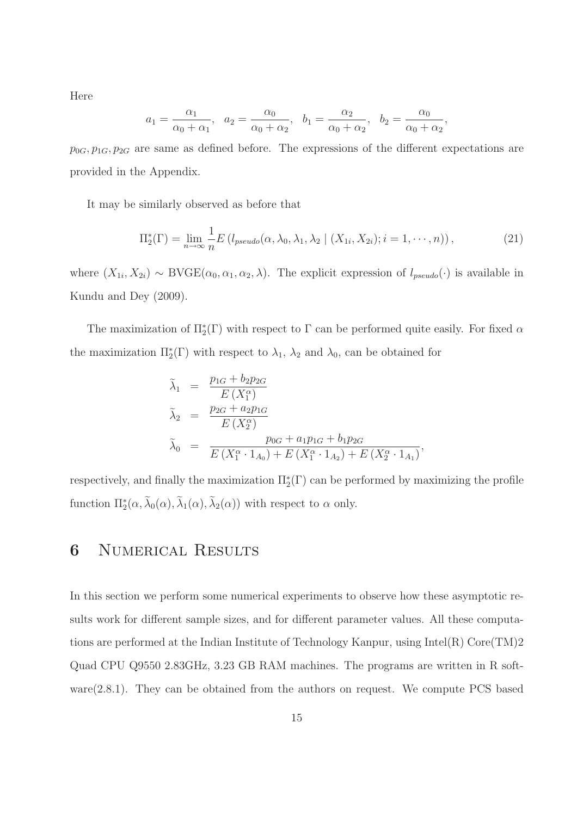Here

$$
a_1 = \frac{\alpha_1}{\alpha_0 + \alpha_1}
$$
,  $a_2 = \frac{\alpha_0}{\alpha_0 + \alpha_2}$ ,  $b_1 = \frac{\alpha_2}{\alpha_0 + \alpha_2}$ ,  $b_2 = \frac{\alpha_0}{\alpha_0 + \alpha_2}$ ,

 $p_{0G}, p_{1G}, p_{2G}$  are same as defined before. The expressions of the different expectations are provided in the Appendix.

It may be similarly observed as before that

$$
\Pi_2^*(\Gamma) = \lim_{n \to \infty} \frac{1}{n} E\left(l_{pseudo}(\alpha, \lambda_0, \lambda_1, \lambda_2 \mid (X_{1i}, X_{2i}); i = 1, \cdots, n)\right),\tag{21}
$$

where  $(X_{1i}, X_{2i}) \sim \text{BVGE}(\alpha_0, \alpha_1, \alpha_2, \lambda)$ . The explicit expression of  $l_{pseudo}(\cdot)$  is available in Kundu and Dey (2009).

The maximization of  $\Pi_2^*(\Gamma)$  with respect to  $\Gamma$  can be performed quite easily. For fixed  $\alpha$ the maximization  $\Pi_2^*(\Gamma)$  with respect to  $\lambda_1$ ,  $\lambda_2$  and  $\lambda_0$ , can be obtained for

$$
\tilde{\lambda}_1 = \frac{p_{1G} + b_2 p_{2G}}{E(X_1^{\alpha})}
$$
\n
$$
\tilde{\lambda}_2 = \frac{p_{2G} + a_2 p_{1G}}{E(X_2^{\alpha})}
$$
\n
$$
\tilde{\lambda}_0 = \frac{p_{0G} + a_1 p_{1G} + b_1 p_{2G}}{E(X_1^{\alpha} \cdot 1_{A_0}) + E(X_1^{\alpha} \cdot 1_{A_2}) + E(X_2^{\alpha} \cdot 1_{A_1})},
$$

respectively, and finally the maximization  $\Pi_2^*(\Gamma)$  can be performed by maximizing the profile function  $\Pi_2^*(\alpha, \lambda_0(\alpha), \lambda_1(\alpha), \lambda_2(\alpha))$  with respect to  $\alpha$  only.

### 6 Numerical Results

In this section we perform some numerical experiments to observe how these asymptotic results work for different sample sizes, and for different parameter values. All these computations are performed at the Indian Institute of Technology Kanpur, using Intel(R) Core(TM)2 Quad CPU Q9550 2.83GHz, 3.23 GB RAM machines. The programs are written in R software(2.8.1). They can be obtained from the authors on request. We compute PCS based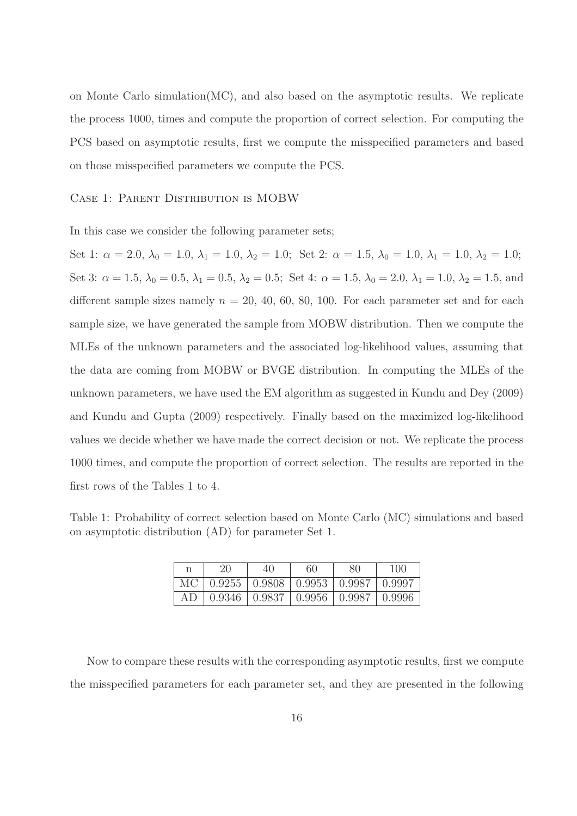on Monte Carlo simulation(MC), and also based on the asymptotic results. We replicate the process 1000, times and compute the proportion of correct selection. For computing the PCS based on asymptotic results, first we compute the misspecified parameters and based on those misspecified parameters we compute the PCS.

#### CASE 1: PARENT DISTRIBUTION IS MOBW

In this case we consider the following parameter sets;

Set 1:  $\alpha = 2.0, \lambda_0 = 1.0, \lambda_1 = 1.0, \lambda_2 = 1.0;$  Set 2:  $\alpha = 1.5, \lambda_0 = 1.0, \lambda_1 = 1.0, \lambda_2 = 1.0;$ Set 3:  $\alpha = 1.5$ ,  $\lambda_0 = 0.5$ ,  $\lambda_1 = 0.5$ ,  $\lambda_2 = 0.5$ ; Set 4:  $\alpha = 1.5$ ,  $\lambda_0 = 2.0$ ,  $\lambda_1 = 1.0$ ,  $\lambda_2 = 1.5$ , and different sample sizes namely  $n = 20, 40, 60, 80, 100$ . For each parameter set and for each sample size, we have generated the sample from MOBW distribution. Then we compute the MLEs of the unknown parameters and the associated log-likelihood values, assuming that the data are coming from MOBW or BVGE distribution. In computing the MLEs of the unknown parameters, we have used the EM algorithm as suggested in Kundu and Dey (2009) and Kundu and Gupta (2009) respectively. Finally based on the maximized log-likelihood values we decide whether we have made the correct decision or not. We replicate the process 1000 times, and compute the proportion of correct selection. The results are reported in the first rows of the Tables 1 to 4.

Table 1: Probability of correct selection based on Monte Carlo (MC) simulations and based on asymptotic distribution (AD) for parameter Set 1.

| n  | 20 | 40                                        | 60 | 80 | 100    |
|----|----|-------------------------------------------|----|----|--------|
| МC |    | $0.9255$   $0.9808$   $0.9953$   $0.9987$ |    |    | 0.9997 |
| AD |    | $0.9346$   $0.9837$   $0.9956$   $0.9987$ |    |    | 0.9996 |

Now to compare these results with the corresponding asymptotic results, first we compute the misspecified parameters for each parameter set, and they are presented in the following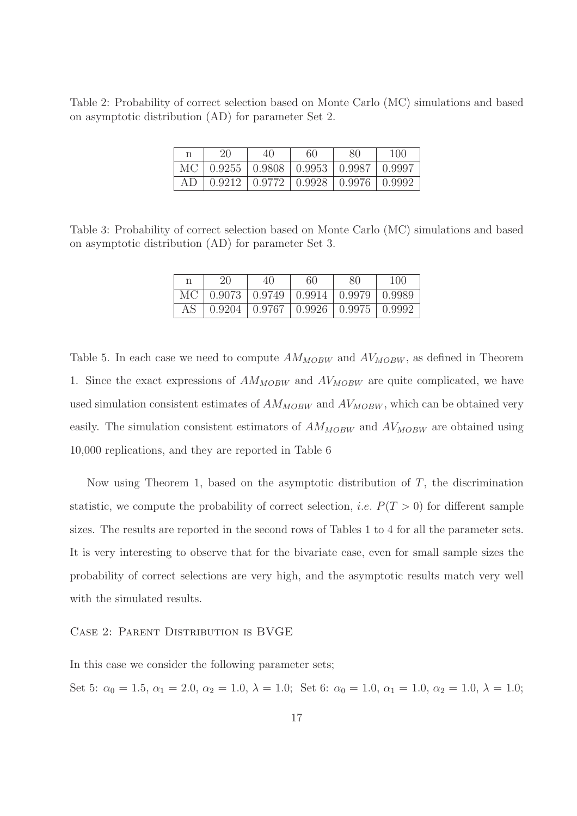Table 2: Probability of correct selection based on Monte Carlo (MC) simulations and based on asymptotic distribution (AD) for parameter Set 2.

| n | -20                                             | 40 | 60 | 80 | 100 |
|---|-------------------------------------------------|----|----|----|-----|
|   | MC   0.9255   0.9808   0.9953   0.9987   0.9997 |    |    |    |     |
|   | AD   0.9212   0.9772   0.9928   0.9976   0.9992 |    |    |    |     |

Table 3: Probability of correct selection based on Monte Carlo (MC) simulations and based on asymptotic distribution (AD) for parameter Set 3.

| n | 20 | 40                                                        | 60 | 80 | 100 |
|---|----|-----------------------------------------------------------|----|----|-----|
|   |    | MC   $0.9073$   $0.9749$   $0.9914$   $0.9979$   $0.9989$ |    |    |     |
|   |    | AS 0.9204 0.9767 0.9926 0.9975 0.9992                     |    |    |     |

Table 5. In each case we need to compute  $AM_{MOBW}$  and  $AV_{MOBW}$ , as defined in Theorem 1. Since the exact expressions of  $AM_{MOBW}$  and  $AV_{MOBW}$  are quite complicated, we have used simulation consistent estimates of  $AM_{MOBW}$  and  $AV_{MOBW}$ , which can be obtained very easily. The simulation consistent estimators of  $AM_{MOBW}$  and  $AV_{MOBW}$  are obtained using 10,000 replications, and they are reported in Table 6

Now using Theorem 1, based on the asymptotic distribution of  $T$ , the discrimination statistic, we compute the probability of correct selection, *i.e.*  $P(T > 0)$  for different sample sizes. The results are reported in the second rows of Tables 1 to 4 for all the parameter sets. It is very interesting to observe that for the bivariate case, even for small sample sizes the probability of correct selections are very high, and the asymptotic results match very well with the simulated results.

#### Case 2: Parent Distribution is BVGE

In this case we consider the following parameter sets;

Set 5:  $\alpha_0 = 1.5$ ,  $\alpha_1 = 2.0$ ,  $\alpha_2 = 1.0$ ,  $\lambda = 1.0$ ; Set 6:  $\alpha_0 = 1.0$ ,  $\alpha_1 = 1.0$ ,  $\alpha_2 = 1.0$ ,  $\lambda = 1.0$ ;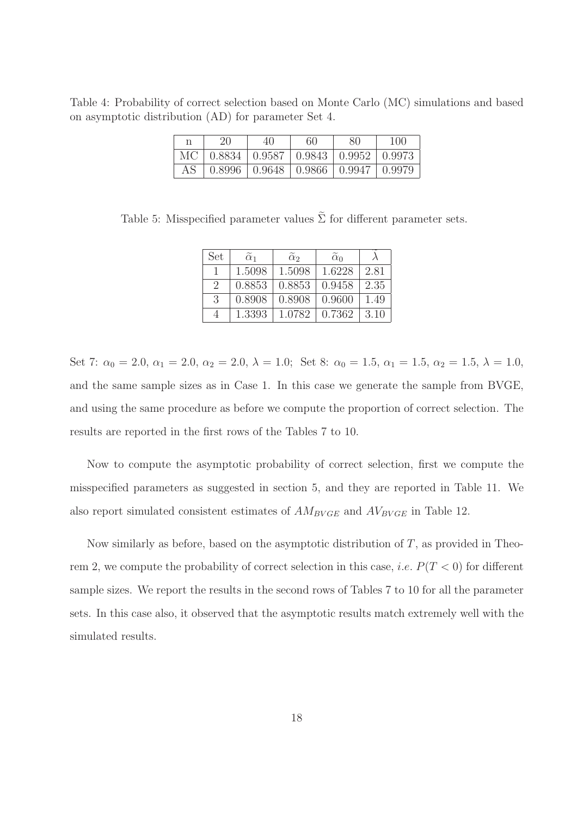Table 4: Probability of correct selection based on Monte Carlo (MC) simulations and based on asymptotic distribution (AD) for parameter Set 4.

| -20                                             | 40 | 60 | 80 | 100 |
|-------------------------------------------------|----|----|----|-----|
| MC   0.8834   0.9587   0.9843   0.9952   0.9973 |    |    |    |     |
| AS   0.8996   0.9648   0.9866   0.9947   0.9979 |    |    |    |     |

Table 5: Misspecified parameter values  $\tilde{\Sigma}$  for different parameter sets.

| Set                         | $\alpha_1$ | $\tilde{\alpha}_2$ | $\alpha_0$ |      |
|-----------------------------|------------|--------------------|------------|------|
|                             | 1.5098     | 1.5098             | 1.6228     | 2.81 |
| $\mathcal{D}_{\mathcal{L}}$ | 0.8853     | 0.8853             | 0.9458     | 2.35 |
| 3                           | 0.8908     | 0.8908             | 0.9600     | 1.49 |
| 4                           | 1.3393     | 1.0782             | 0.7362     | 3.10 |

Set 7:  $\alpha_0 = 2.0, \alpha_1 = 2.0, \alpha_2 = 2.0, \lambda = 1.0;$  Set 8:  $\alpha_0 = 1.5, \alpha_1 = 1.5, \alpha_2 = 1.5, \lambda = 1.0,$ and the same sample sizes as in Case 1. In this case we generate the sample from BVGE, and using the same procedure as before we compute the proportion of correct selection. The results are reported in the first rows of the Tables 7 to 10.

Now to compute the asymptotic probability of correct selection, first we compute the misspecified parameters as suggested in section 5, and they are reported in Table 11. We also report simulated consistent estimates of  $AM_{BVGE}$  and  $AV_{BVGE}$  in Table 12.

Now similarly as before, based on the asymptotic distribution of  $T$ , as provided in Theorem 2, we compute the probability of correct selection in this case, *i.e.*  $P(T < 0)$  for different sample sizes. We report the results in the second rows of Tables 7 to 10 for all the parameter sets. In this case also, it observed that the asymptotic results match extremely well with the simulated results.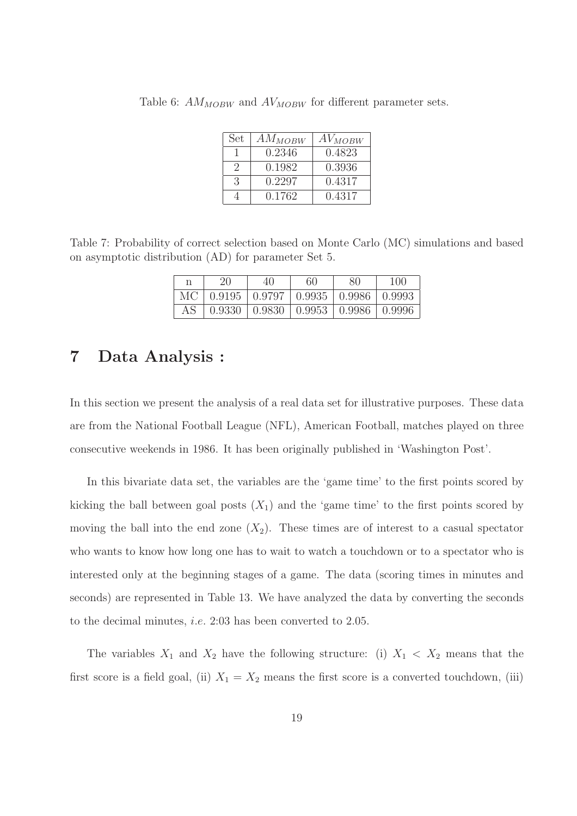| Set      | $AM_{MOBW}$ | AV <sub>MOBW</sub> |
|----------|-------------|--------------------|
|          | 0.2346      | 0.4823             |
| $\Omega$ | 0.1982      | 0.3936             |
| 3        | 0.2297      | 0.4317             |
|          | 0.1762      | 0.4317             |

Table 6:  $AM_{MOBW}$  and  $AV_{MOBW}$  for different parameter sets.

Table 7: Probability of correct selection based on Monte Carlo (MC) simulations and based on asymptotic distribution (AD) for parameter Set 5.

| n | 20                                                        | 40 | 60 | 80 | 100 |
|---|-----------------------------------------------------------|----|----|----|-----|
|   | MC   $0.9195$   $0.9797$   $0.9935$   $0.9986$   $0.9993$ |    |    |    |     |
|   | AS   0.9330   0.9830   0.9953   0.9986   0.9996           |    |    |    |     |

### 7 Data Analysis :

In this section we present the analysis of a real data set for illustrative purposes. These data are from the National Football League (NFL), American Football, matches played on three consecutive weekends in 1986. It has been originally published in 'Washington Post'.

In this bivariate data set, the variables are the 'game time' to the first points scored by kicking the ball between goal posts  $(X_1)$  and the 'game time' to the first points scored by moving the ball into the end zone  $(X_2)$ . These times are of interest to a casual spectator who wants to know how long one has to wait to watch a touchdown or to a spectator who is interested only at the beginning stages of a game. The data (scoring times in minutes and seconds) are represented in Table 13. We have analyzed the data by converting the seconds to the decimal minutes, i.e. 2:03 has been converted to 2.05.

The variables  $X_1$  and  $X_2$  have the following structure: (i)  $X_1 \lt X_2$  means that the first score is a field goal, (ii)  $X_1 = X_2$  means the first score is a converted touchdown, (iii)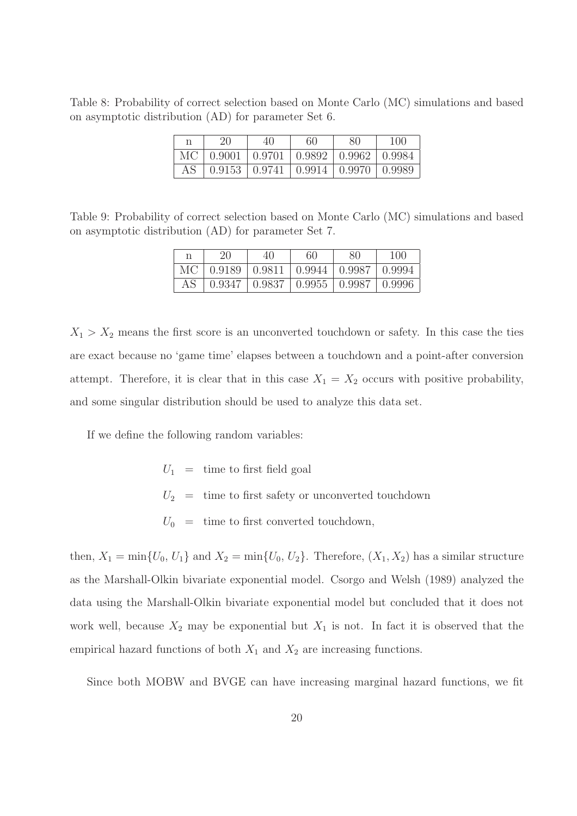Table 8: Probability of correct selection based on Monte Carlo (MC) simulations and based on asymptotic distribution (AD) for parameter Set 6.

| 20                                                        | 40 | 60 | 80 | 100 |
|-----------------------------------------------------------|----|----|----|-----|
| MC   $0.9001$   $0.9701$   $0.9892$   $0.9962$   $0.9984$ |    |    |    |     |
| AS   0.9153   0.9741   0.9914   0.9970   0.9989           |    |    |    |     |

Table 9: Probability of correct selection based on Monte Carlo (MC) simulations and based on asymptotic distribution (AD) for parameter Set 7.

| n  | 20                                                        | 40                                                       | 60 | 80 | 100 |
|----|-----------------------------------------------------------|----------------------------------------------------------|----|----|-----|
|    | MC   $0.9189$   $0.9811$   $0.9944$   $0.9987$   $0.9994$ |                                                          |    |    |     |
| AS |                                                           | $0.9347 \mid 0.9837 \mid 0.9955 \mid 0.9987 \mid 0.9996$ |    |    |     |

 $X_1 > X_2$  means the first score is an unconverted touchdown or safety. In this case the ties are exact because no 'game time' elapses between a touchdown and a point-after conversion attempt. Therefore, it is clear that in this case  $X_1 = X_2$  occurs with positive probability, and some singular distribution should be used to analyze this data set.

If we define the following random variables:

 $U_1$  = time to first field goal  $U_2 \ \, = \ \,$  time to first safety or unconverted touch<br>down  $U_0$  = time to first converted touchdown,

then,  $X_1 = \min\{U_0, U_1\}$  and  $X_2 = \min\{U_0, U_2\}$ . Therefore,  $(X_1, X_2)$  has a similar structure as the Marshall-Olkin bivariate exponential model. Csorgo and Welsh (1989) analyzed the data using the Marshall-Olkin bivariate exponential model but concluded that it does not work well, because  $X_2$  may be exponential but  $X_1$  is not. In fact it is observed that the empirical hazard functions of both  $X_1$  and  $X_2$  are increasing functions.

Since both MOBW and BVGE can have increasing marginal hazard functions, we fit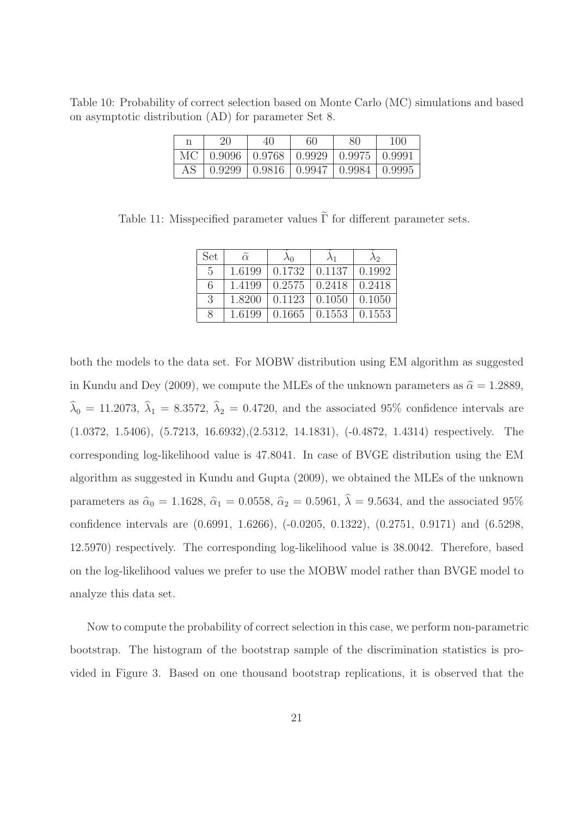Table 10: Probability of correct selection based on Monte Carlo (MC) simulations and based on asymptotic distribution (AD) for parameter Set 8.

| n | 20                                                        | 40 | 60 | 80 | 100 |
|---|-----------------------------------------------------------|----|----|----|-----|
|   | MC   $0.9096$   $0.9768$   $0.9929$   $0.9975$   $0.9991$ |    |    |    |     |
|   | AS   0.9299   0.9816   0.9947   0.9984   0.9995           |    |    |    |     |

Table 11: Misspecified parameter values  $\tilde{\Gamma}$  for different parameter sets.

| Set           | $\tilde{\alpha}$ | $\lambda_0$ | $\lambda_1$ | λ2            |
|---------------|------------------|-------------|-------------|---------------|
| $\frac{5}{2}$ | 1.6199           | 0.1732      | 0.1137      | 0.1992        |
| 6             | 1.4199           | 0.2575      | 0.2418      | 0.2418        |
| $\mathcal{S}$ | 1.8200           | 0.1123      | 0.1050      | 0.1050        |
| $\mathcal{R}$ | 1.6199           | 0.1665      | 0.1553      | $\mid 0.1553$ |

both the models to the data set. For MOBW distribution using EM algorithm as suggested in Kundu and Dey (2009), we compute the MLEs of the unknown parameters as  $\hat{\alpha} = 1.2889$ ,  $\hat{\lambda}_0 = 11.2073, \hat{\lambda}_1 = 8.3572, \hat{\lambda}_2 = 0.4720,$  and the associated 95% confidence intervals are (1.0372, 1.5406), (5.7213, 16.6932),(2.5312, 14.1831), (-0.4872, 1.4314) respectively. The corresponding log-likelihood value is 47.8041. In case of BVGE distribution using the EM algorithm as suggested in Kundu and Gupta (2009), we obtained the MLEs of the unknown parameters as  $\hat{\alpha}_0 = 1.1628$ ,  $\hat{\alpha}_1 = 0.0558$ ,  $\hat{\alpha}_2 = 0.5961$ ,  $\hat{\lambda} = 9.5634$ , and the associated 95% confidence intervals are (0.6991, 1.6266), (-0.0205, 0.1322), (0.2751, 0.9171) and (6.5298, 12.5970) respectively. The corresponding log-likelihood value is 38.0042. Therefore, based on the log-likelihood values we prefer to use the MOBW model rather than BVGE model to analyze this data set.

Now to compute the probability of correct selection in this case, we perform non-parametric bootstrap. The histogram of the bootstrap sample of the discrimination statistics is provided in Figure 3. Based on one thousand bootstrap replications, it is observed that the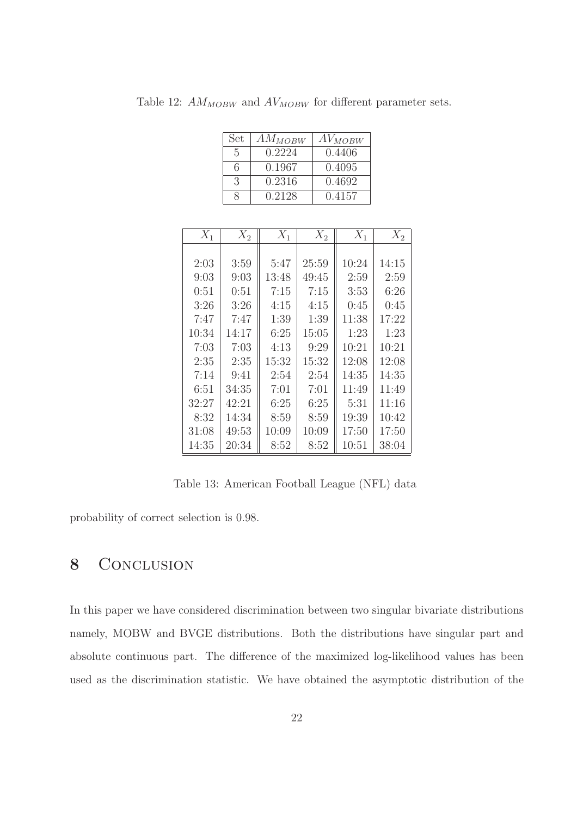Table 12:  $AM_{MOBW}$  and  $AV_{MOBW}$  for different parameter sets.

| Set | $AM_{MOBW}$ | AV <sub>MOBW</sub> |
|-----|-------------|--------------------|
| 5   | 0.2224      | 0.4406             |
| 6   | 0.1967      | 0.4095             |
| 3   | 0.2316      | 0.4692             |
|     | 0.2128      | 0.4157             |

| $X_1$ | $X_2$ | $X_1$ | $X_2$ | $X_1$ | $X_2$ |
|-------|-------|-------|-------|-------|-------|
|       |       |       |       |       |       |
| 2:03  | 3:59  | 5:47  | 25:59 | 10:24 | 14:15 |
| 9:03  | 9:03  | 13:48 | 49:45 | 2:59  | 2:59  |
| 0:51  | 0:51  | 7:15  | 7:15  | 3:53  | 6:26  |
| 3:26  | 3:26  | 4:15  | 4:15  | 0:45  | 0:45  |
| 7:47  | 7:47  | 1:39  | 1:39  | 11:38 | 17:22 |
| 10:34 | 14:17 | 6:25  | 15:05 | 1:23  | 1:23  |
| 7:03  | 7:03  | 4:13  | 9:29  | 10:21 | 10:21 |
| 2:35  | 2:35  | 15:32 | 15:32 | 12:08 | 12:08 |
| 7:14  | 9:41  | 2:54  | 2:54  | 14:35 | 14:35 |
| 6:51  | 34:35 | 7:01  | 7:01  | 11:49 | 11:49 |
| 32:27 | 42:21 | 6:25  | 6:25  | 5:31  | 11:16 |
| 8:32  | 14:34 | 8:59  | 8:59  | 19:39 | 10:42 |
| 31:08 | 49:53 | 10:09 | 10:09 | 17:50 | 17:50 |
| 14:35 | 20:34 | 8:52  | 8:52  | 10:51 | 38:04 |

Table 13: American Football League (NFL) data

probability of correct selection is 0.98.

# 8 CONCLUSION

In this paper we have considered discrimination between two singular bivariate distributions namely, MOBW and BVGE distributions. Both the distributions have singular part and absolute continuous part. The difference of the maximized log-likelihood values has been used as the discrimination statistic. We have obtained the asymptotic distribution of the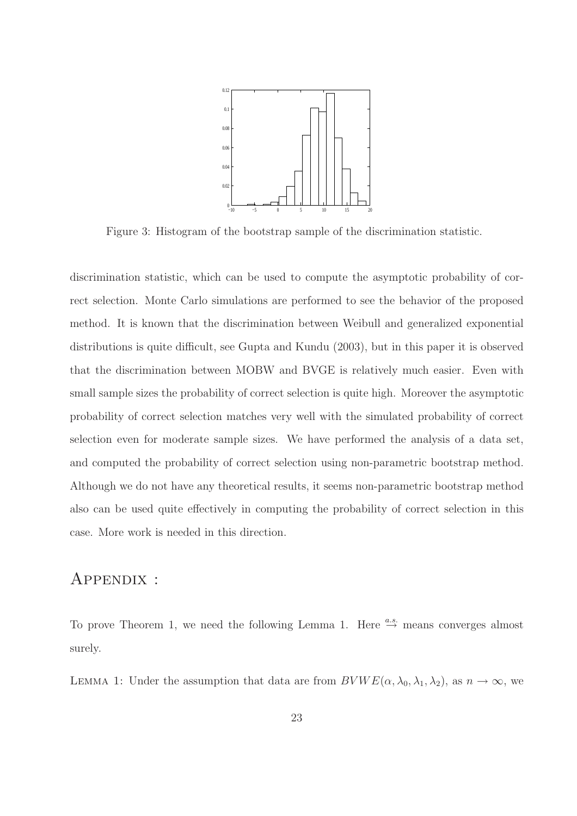

Figure 3: Histogram of the bootstrap sample of the discrimination statistic.

discrimination statistic, which can be used to compute the asymptotic probability of correct selection. Monte Carlo simulations are performed to see the behavior of the proposed method. It is known that the discrimination between Weibull and generalized exponential distributions is quite difficult, see Gupta and Kundu (2003), but in this paper it is observed that the discrimination between MOBW and BVGE is relatively much easier. Even with small sample sizes the probability of correct selection is quite high. Moreover the asymptotic probability of correct selection matches very well with the simulated probability of correct selection even for moderate sample sizes. We have performed the analysis of a data set, and computed the probability of correct selection using non-parametric bootstrap method. Although we do not have any theoretical results, it seems non-parametric bootstrap method also can be used quite effectively in computing the probability of correct selection in this case. More work is needed in this direction.

### Appendix :

To prove Theorem 1, we need the following Lemma 1. Here  $\stackrel{a.s.}{\rightarrow}$  means converges almost surely.

LEMMA 1: Under the assumption that data are from  $BVWE(\alpha, \lambda_0, \lambda_1, \lambda_2)$ , as  $n \to \infty$ , we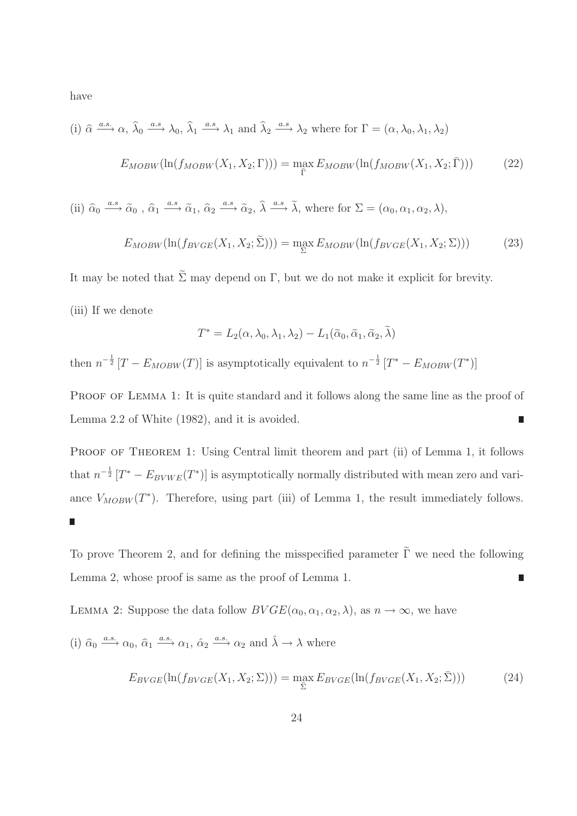have

(i) 
$$
\hat{\alpha} \xrightarrow{a.s.} \alpha, \hat{\lambda}_0 \xrightarrow{a.s.} \lambda_0, \hat{\lambda}_1 \xrightarrow{a.s.} \lambda_1
$$
 and  $\hat{\lambda}_2 \xrightarrow{a.s.} \lambda_2$  where for  $\Gamma = (\alpha, \lambda_0, \lambda_1, \lambda_2)$   

$$
E_{MOBW}(\ln(f_{MOBW}(X_1, X_2; \Gamma))) = \max_{\bar{\Gamma}} E_{MOBW}(\ln(f_{MOBW}(X_1, X_2; \bar{\Gamma})))
$$
(22)

(ii)  $\hat{\alpha}_0 \stackrel{a.s}{\longrightarrow} \tilde{\alpha}_0$ ,  $\hat{\alpha}_1 \stackrel{a.s}{\longrightarrow} \tilde{\alpha}_1$ ,  $\hat{\alpha}_2 \stackrel{a.s}{\longrightarrow} \tilde{\alpha}_2$ ,  $\hat{\lambda} \stackrel{a.s}{\longrightarrow} \tilde{\lambda}$ , where for  $\Sigma = (\alpha_0, \alpha_1, \alpha_2, \lambda)$ ,

$$
E_{MOBW}(\ln(f_{BVGE}(X_1, X_2; \tilde{\Sigma}))) = \max_{\Sigma} E_{MOBW}(\ln(f_{BVGE}(X_1, X_2; \Sigma)))
$$
 (23)

It may be noted that  $\tilde{\Sigma}$  may depend on Γ, but we do not make it explicit for brevity.

(iii) If we denote

$$
T^* = L_2(\alpha, \lambda_0, \lambda_1, \lambda_2) - L_1(\tilde{\alpha}_0, \tilde{\alpha}_1, \tilde{\alpha}_2, \tilde{\lambda})
$$

then  $n^{-\frac{1}{2}}[T - E_{MOBW}(T)]$  is asymptotically equivalent to  $n^{-\frac{1}{2}}[T^* - E_{MOBW}(T^*)]$ 

PROOF OF LEMMA 1: It is quite standard and it follows along the same line as the proof of Lemma 2.2 of White (1982), and it is avoided. ī

PROOF OF THEOREM 1: Using Central limit theorem and part (ii) of Lemma 1, it follows that  $n^{-\frac{1}{2}} [T^* - E_{BVWE}(T^*)]$  is asymptotically normally distributed with mean zero and variance  $V_{MOBW}(T^*)$ . Therefore, using part (iii) of Lemma 1, the result immediately follows. 

To prove Theorem 2, and for defining the misspecified parameter  $\tilde{\Gamma}$  we need the following Lemma 2, whose proof is same as the proof of Lemma 1. П

LEMMA 2: Suppose the data follow  $BVGE(\alpha_0, \alpha_1, \alpha_2, \lambda)$ , as  $n \to \infty$ , we have

(i) 
$$
\hat{\alpha}_0 \xrightarrow{a.s.} \alpha_0
$$
,  $\hat{\alpha}_1 \xrightarrow{a.s.} \alpha_1$ ,  $\hat{\alpha}_2 \xrightarrow{a.s.} \alpha_2$  and  $\hat{\lambda} \to \lambda$  where

$$
E_{BVGE}(\ln(f_{BVGE}(X_1, X_2; \Sigma))) = \max_{\overline{\Sigma}} E_{BVGE}(\ln(f_{BVGE}(X_1, X_2; \overline{\Sigma})))
$$
\n(24)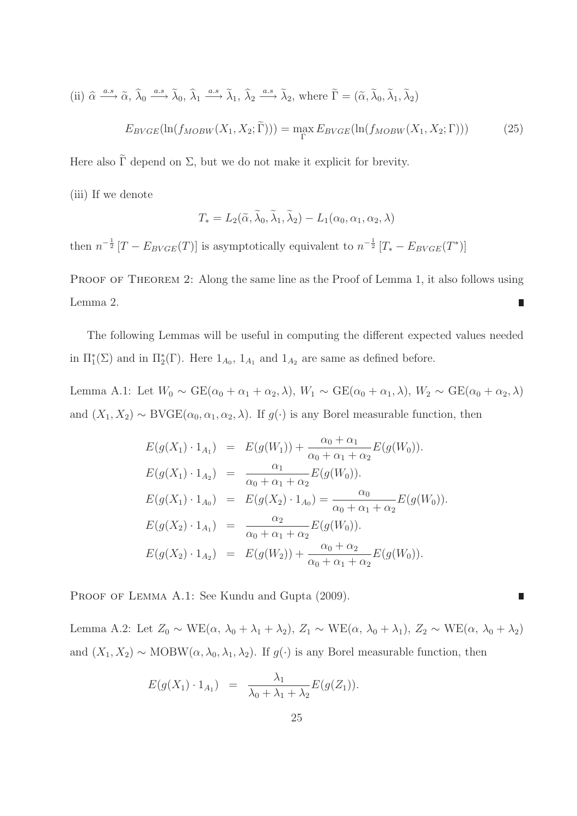(ii) 
$$
\hat{\alpha} \xrightarrow{a.s} \tilde{\alpha}, \hat{\lambda}_0 \xrightarrow{a.s} \tilde{\lambda}_0, \hat{\lambda}_1 \xrightarrow{a.s} \tilde{\lambda}_1, \hat{\lambda}_2 \xrightarrow{a.s} \tilde{\lambda}_2
$$
, where  $\tilde{\Gamma} = (\tilde{\alpha}, \tilde{\lambda}_0, \tilde{\lambda}_1, \tilde{\lambda}_2)$   

$$
E_{BVGE}(\ln(f_{MOBW}(X_1, X_2; \tilde{\Gamma}))) = \max_{\Gamma} E_{BVGE}(\ln(f_{MOBW}(X_1, X_2; \Gamma)))
$$
(25)

Here also  $\tilde{\Gamma}$  depend on  $\Sigma$ , but we do not make it explicit for brevity.

(iii) If we denote

$$
T_* = L_2(\widetilde{\alpha}, \widetilde{\lambda}_0, \widetilde{\lambda}_1, \widetilde{\lambda}_2) - L_1(\alpha_0, \alpha_1, \alpha_2, \lambda)
$$

then  $n^{-\frac{1}{2}}[T - E_{BVGE}(T)]$  is asymptotically equivalent to  $n^{-\frac{1}{2}}[T_{*} - E_{BVGE}(T^{*})]$ 

PROOF OF THEOREM 2: Along the same line as the Proof of Lemma 1, it also follows using Lemma 2.  $\Box$ 

The following Lemmas will be useful in computing the different expected values needed in  $\Pi_1^*(\Sigma)$  and in  $\Pi_2^*(\Gamma)$ . Here  $1_{A_0}$ ,  $1_{A_1}$  and  $1_{A_2}$  are same as defined before.

Lemma A.1: Let  $W_0 \sim \text{GE}(\alpha_0 + \alpha_1 + \alpha_2, \lambda), W_1 \sim \text{GE}(\alpha_0 + \alpha_1, \lambda), W_2 \sim \text{GE}(\alpha_0 + \alpha_2, \lambda)$ and  $(X_1, X_2) \sim \text{BVGE}(\alpha_0, \alpha_1, \alpha_2, \lambda)$ . If  $g(\cdot)$  is any Borel measurable function, then

$$
E(g(X_1) \cdot 1_{A_1}) = E(g(W_1)) + \frac{\alpha_0 + \alpha_1}{\alpha_0 + \alpha_1 + \alpha_2} E(g(W_0)).
$$
  
\n
$$
E(g(X_1) \cdot 1_{A_2}) = \frac{\alpha_1}{\alpha_0 + \alpha_1 + \alpha_2} E(g(W_0)).
$$
  
\n
$$
E(g(X_1) \cdot 1_{A_0}) = E(g(X_2) \cdot 1_{A_0}) = \frac{\alpha_0}{\alpha_0 + \alpha_1 + \alpha_2} E(g(W_0)).
$$
  
\n
$$
E(g(X_2) \cdot 1_{A_1}) = \frac{\alpha_2}{\alpha_0 + \alpha_1 + \alpha_2} E(g(W_0)).
$$
  
\n
$$
E(g(X_2) \cdot 1_{A_2}) = E(g(W_2)) + \frac{\alpha_0 + \alpha_2}{\alpha_0 + \alpha_1 + \alpha_2} E(g(W_0)).
$$

PROOF OF LEMMA A.1: See Kundu and Gupta (2009).

Lemma A.2: Let  $Z_0 \sim \text{WE}(\alpha, \lambda_0 + \lambda_1 + \lambda_2), Z_1 \sim \text{WE}(\alpha, \lambda_0 + \lambda_1), Z_2 \sim \text{WE}(\alpha, \lambda_0 + \lambda_2)$ and  $(X_1, X_2) \sim \text{MOBW}(\alpha, \lambda_0, \lambda_1, \lambda_2)$ . If  $g(\cdot)$  is any Borel measurable function, then

$$
E(g(X_1) \cdot 1_{A_1}) = \frac{\lambda_1}{\lambda_0 + \lambda_1 + \lambda_2} E(g(Z_1)).
$$

П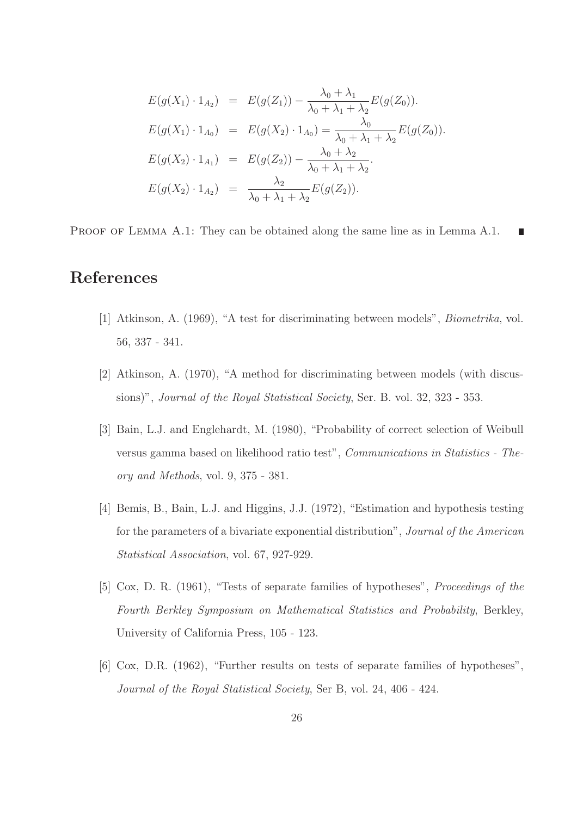$$
E(g(X_1) \cdot 1_{A_2}) = E(g(Z_1)) - \frac{\lambda_0 + \lambda_1}{\lambda_0 + \lambda_1 + \lambda_2} E(g(Z_0)).
$$
  
\n
$$
E(g(X_1) \cdot 1_{A_0}) = E(g(X_2) \cdot 1_{A_0}) = \frac{\lambda_0}{\lambda_0 + \lambda_1 + \lambda_2} E(g(Z_0)).
$$
  
\n
$$
E(g(X_2) \cdot 1_{A_1}) = E(g(Z_2)) - \frac{\lambda_0 + \lambda_2}{\lambda_0 + \lambda_1 + \lambda_2}.
$$
  
\n
$$
E(g(X_2) \cdot 1_{A_2}) = \frac{\lambda_2}{\lambda_0 + \lambda_1 + \lambda_2} E(g(Z_2)).
$$

PROOF OF LEMMA A.1: They can be obtained along the same line as in Lemma A.1.

# References

- [1] Atkinson, A. (1969), "A test for discriminating between models", Biometrika, vol. 56, 337 - 341.
- [2] Atkinson, A. (1970), "A method for discriminating between models (with discussions)", *Journal of the Royal Statistical Society*, Ser. B. vol. 32, 323 - 353.
- [3] Bain, L.J. and Englehardt, M. (1980), "Probability of correct selection of Weibull versus gamma based on likelihood ratio test", Communications in Statistics - Theory and Methods, vol. 9, 375 - 381.
- [4] Bemis, B., Bain, L.J. and Higgins, J.J. (1972), "Estimation and hypothesis testing for the parameters of a bivariate exponential distribution", Journal of the American Statistical Association, vol. 67, 927-929.
- [5] Cox, D. R. (1961), "Tests of separate families of hypotheses", Proceedings of the Fourth Berkley Symposium on Mathematical Statistics and Probability, Berkley, University of California Press, 105 - 123.
- [6] Cox, D.R. (1962), "Further results on tests of separate families of hypotheses", Journal of the Royal Statistical Society, Ser B, vol. 24, 406 - 424.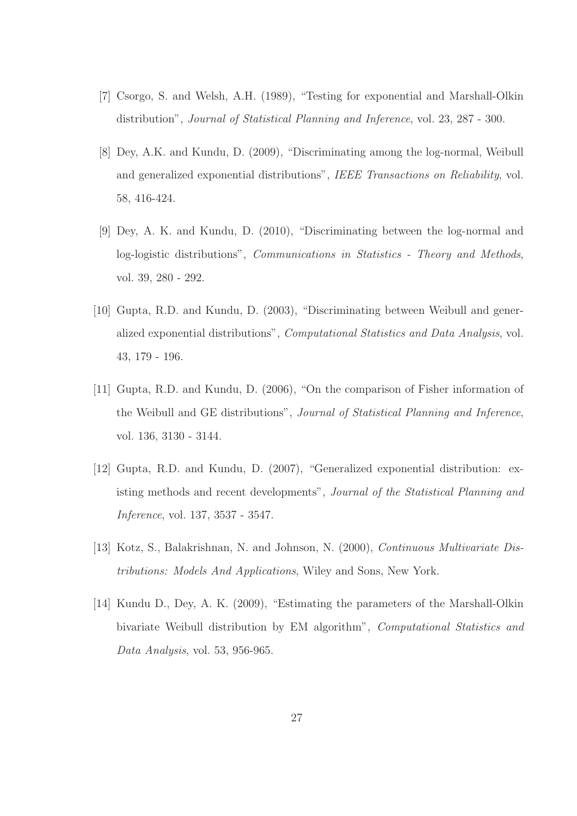- [7] Csorgo, S. and Welsh, A.H. (1989), "Testing for exponential and Marshall-Olkin distribution", Journal of Statistical Planning and Inference, vol. 23, 287 - 300.
- [8] Dey, A.K. and Kundu, D. (2009), "Discriminating among the log-normal, Weibull and generalized exponential distributions", IEEE Transactions on Reliability, vol. 58, 416-424.
- [9] Dey, A. K. and Kundu, D. (2010), "Discriminating between the log-normal and log-logistic distributions", Communications in Statistics - Theory and Methods, vol. 39, 280 - 292.
- [10] Gupta, R.D. and Kundu, D. (2003), "Discriminating between Weibull and generalized exponential distributions", Computational Statistics and Data Analysis, vol. 43, 179 - 196.
- [11] Gupta, R.D. and Kundu, D. (2006), "On the comparison of Fisher information of the Weibull and GE distributions", Journal of Statistical Planning and Inference, vol. 136, 3130 - 3144.
- [12] Gupta, R.D. and Kundu, D. (2007), "Generalized exponential distribution: existing methods and recent developments", Journal of the Statistical Planning and Inference, vol. 137, 3537 - 3547.
- [13] Kotz, S., Balakrishnan, N. and Johnson, N. (2000), *Continuous Multivariate Dis*tributions: Models And Applications, Wiley and Sons, New York.
- [14] Kundu D., Dey, A. K. (2009), "Estimating the parameters of the Marshall-Olkin bivariate Weibull distribution by EM algorithm", Computational Statistics and Data Analysis, vol. 53, 956-965.